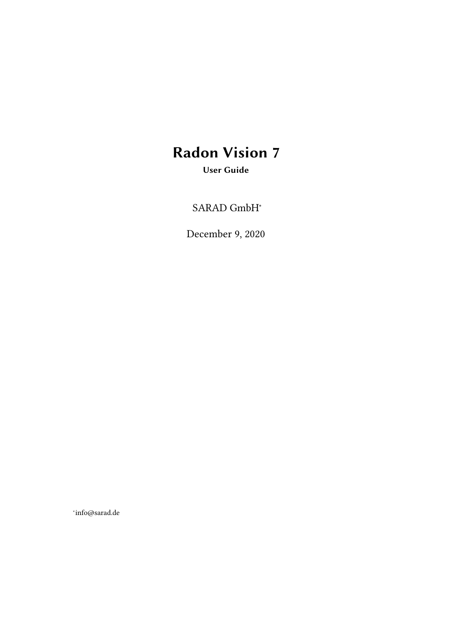# Radon Vision 7

User Guide

SARAD GmbH<sup>∗</sup>

December 9, 2020

∗ info@sarad.de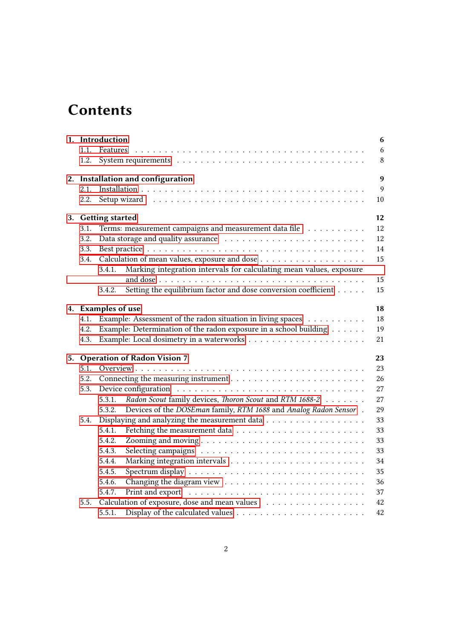## **Contents**

|    |      | 1. Introduction                                                                                    | 6  |
|----|------|----------------------------------------------------------------------------------------------------|----|
|    | 1.1. | Features                                                                                           | 6  |
|    | 1.2. |                                                                                                    | 8  |
| 2. |      | Installation and configuration                                                                     | 9  |
|    | 2.1. |                                                                                                    | 9  |
|    | 2.2. |                                                                                                    | 10 |
| 3. |      | <b>Getting started</b>                                                                             | 12 |
|    | 3.1. | Terms: measurement campaigns and measurement data file                                             | 12 |
|    | 3.2. |                                                                                                    | 12 |
|    | 3.3. |                                                                                                    | 14 |
|    | 3.4. |                                                                                                    | 15 |
|    |      | Marking integration intervals for calculating mean values, exposure<br>3.4.1.                      |    |
|    |      |                                                                                                    | 15 |
|    |      | Setting the equilibrium factor and dose conversion coefficient<br>3.4.2.                           | 15 |
|    |      | 4. Examples of use                                                                                 | 18 |
|    | 4.1. | Example: Assessment of the radon situation in living spaces                                        | 18 |
|    | 4.2. | Example: Determination of the radon exposure in a school building $\dots \dots$                    | 19 |
|    | 4.3. |                                                                                                    | 21 |
|    |      | 5. Operation of Radon Vision 7                                                                     | 23 |
|    |      |                                                                                                    | 23 |
|    | 5.2. |                                                                                                    | 26 |
|    | 5.3. |                                                                                                    | 27 |
|    |      | Radon Scout family devices, Thoron Scout and RTM 1688-2<br>5.3.1.                                  | 27 |
|    |      | Devices of the DOSEman family, RTM 1688 and Analog Radon Sensor.<br>5.3.2.                         | 29 |
|    | 5.4. | Displaying and analyzing the measurement data                                                      | 33 |
|    |      | 5.4.1.                                                                                             | 33 |
|    |      | 5.4.2.                                                                                             | 33 |
|    |      | 5.4.3.                                                                                             | 33 |
|    |      | 5.4.4.                                                                                             | 34 |
|    |      | 5.4.5.                                                                                             | 35 |
|    |      | 5.4.6.                                                                                             | 36 |
|    |      | 5.4.7.                                                                                             | 37 |
|    | 5.5. | Calculation of exposure, dose and mean values                                                      | 42 |
|    |      | Display of the calculated values $\dots \dots \dots \dots \dots \dots \dots \dots \dots$<br>5.5.1. | 42 |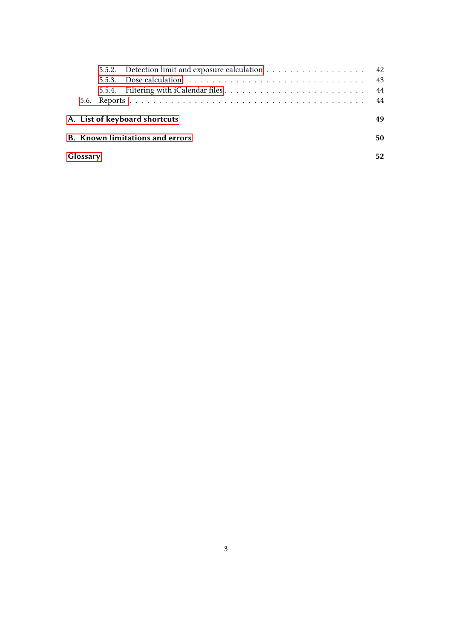|          |  | 5.5.2. Detection limit and exposure calculation 42                                              |    |  |
|----------|--|-------------------------------------------------------------------------------------------------|----|--|
|          |  | 5.5.3. Dose calculation $\ldots \ldots \ldots \ldots \ldots \ldots \ldots \ldots \ldots \ldots$ | 43 |  |
|          |  |                                                                                                 | 44 |  |
|          |  |                                                                                                 | 44 |  |
|          |  | A. List of keyboard shortcuts                                                                   | 49 |  |
|          |  | <b>B.</b> Known limitations and errors                                                          | 50 |  |
| Glossary |  |                                                                                                 |    |  |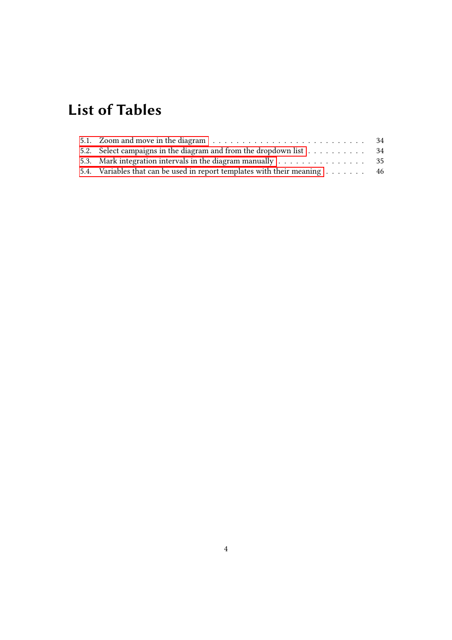# List of Tables

| 5.2. Select campaigns in the diagram and from the dropdown list 34                      |  |
|-----------------------------------------------------------------------------------------|--|
| 5.3. Mark integration intervals in the diagram manually $\dots \dots \dots \dots \dots$ |  |
| 5.4. Variables that can be used in report templates with their meaning 46               |  |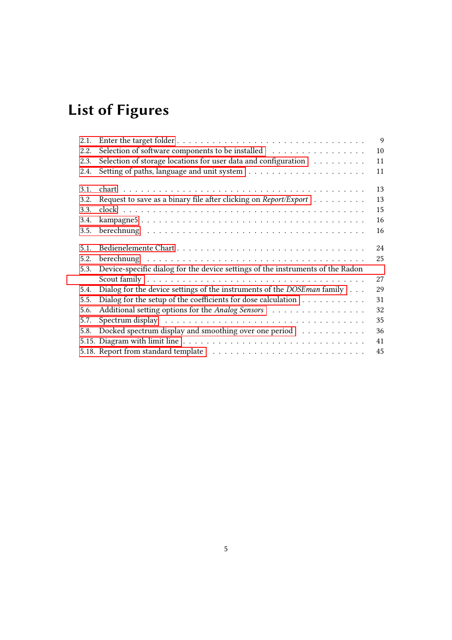# List of Figures

| 2.1. |                                                                                   | $\overline{9}$ |
|------|-----------------------------------------------------------------------------------|----------------|
| 2.2. | Selection of software components to be installed                                  | 10             |
| 2.3. | Selection of storage locations for user data and configuration                    | 11             |
| 2.4. |                                                                                   | 11             |
| 3.1. |                                                                                   | 13             |
| 3.2. | Request to save as a binary file after clicking on Report/Export                  | 13             |
| 3.3. |                                                                                   | 15             |
| 3.4. |                                                                                   | 16             |
| 3.5. |                                                                                   | 16             |
| 5.1. |                                                                                   | 24             |
| 5.2. |                                                                                   | 25             |
| 5.3. | Device-specific dialog for the device settings of the instruments of the Radon    |                |
|      |                                                                                   | 27             |
| 5.4. | Dialog for the device settings of the instruments of the DOSE man family          | 29             |
| 5.5. | Dialog for the setup of the coefficients for dose calculation $\dots \dots \dots$ | 31             |
| 5.6. | Additional setting options for the Analog Sensors                                 | 32             |
| 5.7. |                                                                                   | 35             |
| 5.8. | Docked spectrum display and smoothing over one period                             | 36             |
|      |                                                                                   | 41             |
|      |                                                                                   | 45             |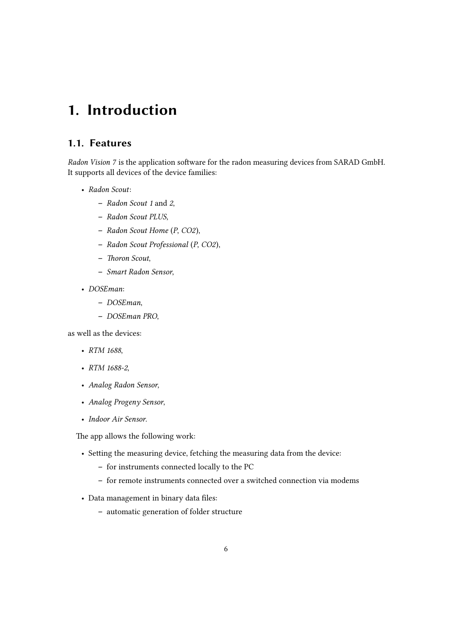## <span id="page-5-0"></span>1. Introduction

## <span id="page-5-1"></span>1.1. Features

Radon Vision 7 is the application software for the radon measuring devices from SARAD GmbH. It supports all devices of the device families:

- Radon Scout:
	- Radon Scout 1 and 2,
	- Radon Scout PLUS,
	- Radon Scout Home (P, CO2),
	- Radon Scout Professional (P, CO2),
	- Thoron Scout,
	- Smart Radon Sensor,
- DOSEman:
	- DOSEman,
	- DOSEman PRO,

as well as the devices:

- RTM 1688.
- RTM 1688-2,
- Analog Radon Sensor,
- Analog Progeny Sensor,
- Indoor Air Sensor.

The app allows the following work:

- Setting the measuring device, fetching the measuring data from the device:
	- for instruments connected locally to the PC
	- for remote instruments connected over a switched connection via modems
- Data management in binary data files:
	- automatic generation of folder structure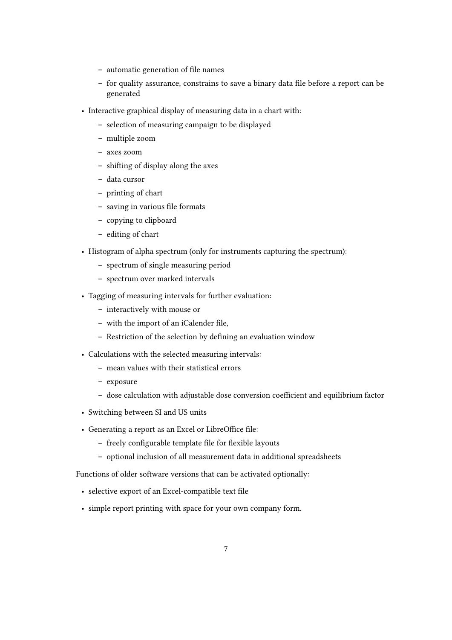- automatic generation of file names
- for quality assurance, constrains to save a binary data file before a report can be generated
- Interactive graphical display of measuring data in a chart with:
	- selection of measuring campaign to be displayed
	- multiple zoom
	- axes zoom
	- shifting of display along the axes
	- data cursor
	- printing of chart
	- saving in various file formats
	- copying to clipboard
	- editing of chart
- Histogram of alpha spectrum (only for instruments capturing the spectrum):
	- spectrum of single measuring period
	- spectrum over marked intervals
- Tagging of measuring intervals for further evaluation:
	- interactively with mouse or
	- with the import of an iCalender file,
	- Restriction of the selection by defining an evaluation window
- Calculations with the selected measuring intervals:
	- mean values with their statistical errors
	- exposure
	- dose calculation with adjustable dose conversion coefficient and equilibrium factor
- Switching between SI and US units
- Generating a report as an Excel or LibreOffice file:
	- freely configurable template file for flexible layouts
	- optional inclusion of all measurement data in additional spreadsheets

Functions of older software versions that can be activated optionally:

- selective export of an Excel-compatible text file
- simple report printing with space for your own company form.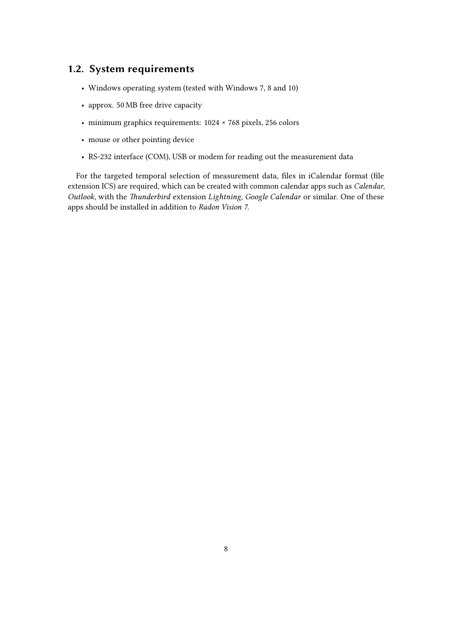## <span id="page-7-0"></span>1.2. System requirements

- Windows operating system (tested with Windows 7, 8 and 10)
- approx. 50 MB free drive capacity
- minimum graphics requirements: 1024 × 768 pixels, 256 colors
- mouse or other pointing device
- RS-232 interface (COM), USB or modem for reading out the measurement data

For the targeted temporal selection of measurement data, files in iCalendar format (file extension ICS) are required, which can be created with common calendar apps such as Calendar, Outlook, with the Thunderbird extension Lightning, Google Calendar or similar. One of these apps should be installed in addition to Radon Vision 7.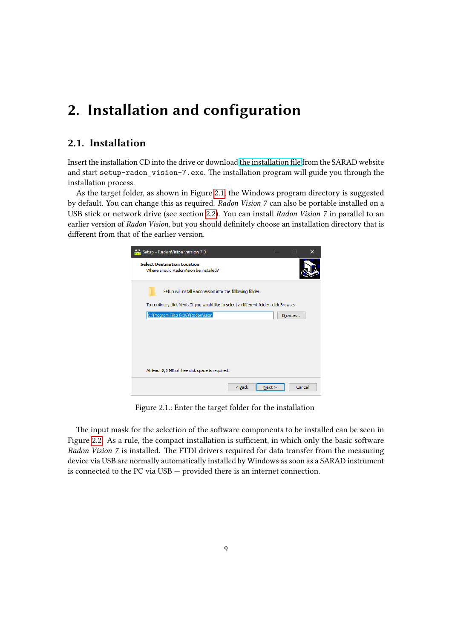## <span id="page-8-0"></span>2. Installation and configuration

## <span id="page-8-1"></span>2.1. Installation

Insert the installation CD into the drive or download [the installation file](https://www.sarad.de/cms/media/docs/software/setup-radon_vision-7.exe) from the SARAD website and start setup-radon\_vision-7.exe. The installation program will guide you through the installation process.

<span id="page-8-2"></span>As the target folder, as shown in Figure [2.1,](#page-8-2) the Windows program directory is suggested by default. You can change this as required. Radon Vision 7 can also be portable installed on a USB stick or network drive (see section [2.2\)](#page-9-0). You can install Radon Vision 7 in parallel to an earlier version of Radon Vision, but you should definitely choose an installation directory that is different from that of the earlier version.



Figure 2.1.: Enter the target folder for the installation

The input mask for the selection of the software components to be installed can be seen in Figure [2.2.](#page-9-1) As a rule, the compact installation is sufficient, in which only the basic software Radon Vision 7 is installed. The FTDI drivers required for data transfer from the measuring device via USB are normally automatically installed by Windows as soon as a SARAD instrument is connected to the PC via USB — provided there is an internet connection.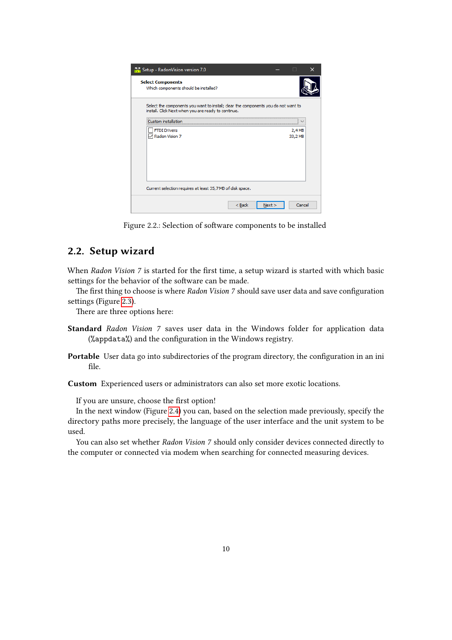<span id="page-9-1"></span>

| Setup - RadonVision version 7.0                                                                                                           |      |         |  |
|-------------------------------------------------------------------------------------------------------------------------------------------|------|---------|--|
| <b>Select Components</b><br>Which components should be installed?                                                                         |      |         |  |
| Select the components you want to install; clear the components you do not want to<br>install. Click Next when you are ready to continue. |      |         |  |
| Custom ins<br>та<br>lation                                                                                                                |      |         |  |
| <b>FTDI Drivers</b>                                                                                                                       |      | 2,4 MB  |  |
| Radon Vision 7                                                                                                                            |      | 33,2 MB |  |
| Current selection requires at least 35,7 MB of disk space.                                                                                |      |         |  |
| $<$ Back                                                                                                                                  | Next | Cancel  |  |

Figure 2.2.: Selection of software components to be installed

## <span id="page-9-0"></span>2.2. Setup wizard

When Radon Vision 7 is started for the first time, a setup wizard is started with which basic settings for the behavior of the software can be made.

The first thing to choose is where Radon Vision 7 should save user data and save configuration settings (Figure [2.3\)](#page-10-0).

There are three options here:

- Standard Radon Vision 7 saves user data in the Windows folder for application data (%appdata%) and the configuration in the Windows registry.
- Portable User data go into subdirectories of the program directory, the configuration in an ini file.

Custom Experienced users or administrators can also set more exotic locations.

If you are unsure, choose the first option!

In the next window (Figure [2.4\)](#page-10-1) you can, based on the selection made previously, specify the directory paths more precisely, the language of the user interface and the unit system to be used.

You can also set whether Radon Vision 7 should only consider devices connected directly to the computer or connected via modem when searching for connected measuring devices.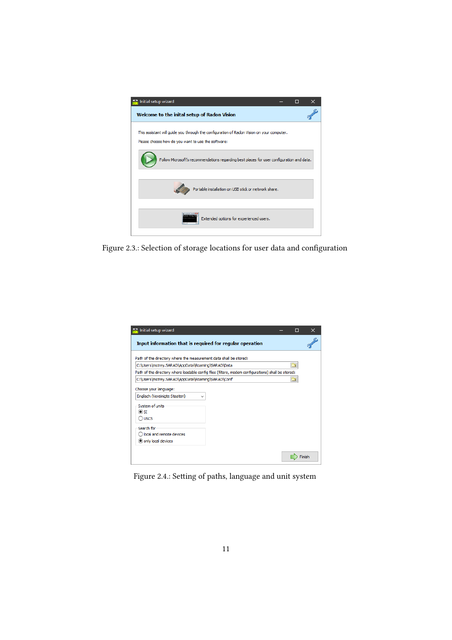<span id="page-10-0"></span>

Figure 2.3.: Selection of storage locations for user data and configuration

<span id="page-10-1"></span>

| Path of the directory where the measurement data shall be stored:<br>C:\Users\mstrey.SARAD\AppData\Roaming\SARAD\Data<br>C:\Users\mstrey.SARAD\AppData\Roaming\SARAD\Conf | Input information that is required for reqular operation | Path of the directory where loadable config files (filters, modem configurations) shall be stored: |
|---------------------------------------------------------------------------------------------------------------------------------------------------------------------------|----------------------------------------------------------|----------------------------------------------------------------------------------------------------|

Figure 2.4.: Setting of paths, language and unit system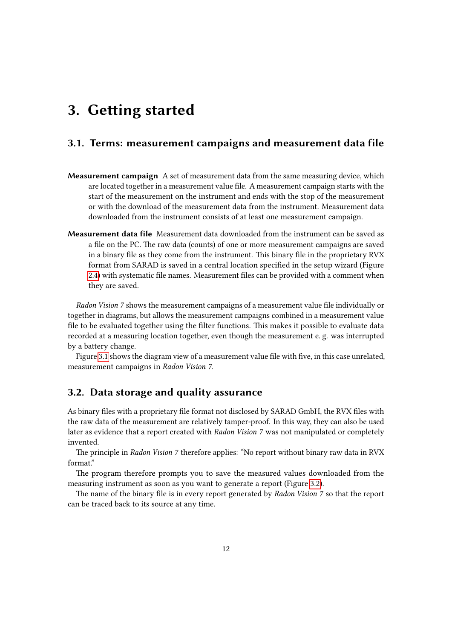## <span id="page-11-0"></span>3. Getting started

## <span id="page-11-1"></span>3.1. Terms: measurement campaigns and measurement data file

- Measurement campaign A set of measurement data from the same measuring device, which are located together in a measurement value file. A measurement campaign starts with the start of the measurement on the instrument and ends with the stop of the measurement or with the download of the measurement data from the instrument. Measurement data downloaded from the instrument consists of at least one measurement campaign.
- Measurement data file Measurement data downloaded from the instrument can be saved as a file on the PC. The raw data (counts) of one or more measurement campaigns are saved in a binary file as they come from the instrument. This binary file in the proprietary RVX format from SARAD is saved in a central location specified in the setup wizard (Figure [2.4\)](#page-10-1) with systematic file names. Measurement files can be provided with a comment when they are saved.

Radon Vision 7 shows the measurement campaigns of a measurement value file individually or together in diagrams, but allows the measurement campaigns combined in a measurement value file to be evaluated together using the filter functions. This makes it possible to evaluate data recorded at a measuring location together, even though the measurement e. g. was interrupted by a battery change.

Figure [3.1](#page-12-0) shows the diagram view of a measurement value file with five, in this case unrelated, measurement campaigns in Radon Vision 7.

### <span id="page-11-2"></span>3.2. Data storage and quality assurance

As binary files with a proprietary file format not disclosed by SARAD GmbH, the RVX files with the raw data of the measurement are relatively tamper-proof. In this way, they can also be used later as evidence that a report created with Radon Vision 7 was not manipulated or completely invented.

The principle in Radon Vision 7 therefore applies: "No report without binary raw data in RVX format"

The program therefore prompts you to save the measured values downloaded from the measuring instrument as soon as you want to generate a report (Figure [3.2\)](#page-12-1).

The name of the binary file is in every report generated by Radon Vision 7 so that the report can be traced back to its source at any time.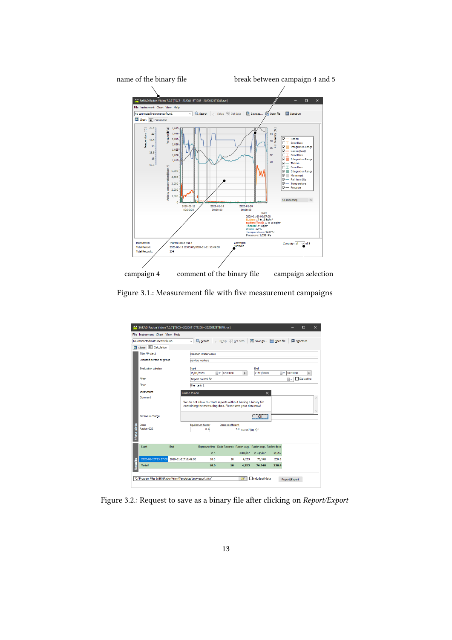<span id="page-12-0"></span>

<span id="page-12-1"></span>Figure 3.1.: Measurement file with five measurement campaigns

|                | SARAD Radon Vision 7.0.7 [TSC5--20200115T1208--20200121T1049.rvx] |     |                                                                                                                             |      |                       |                                             |                                                             |        |                         | П                 | x            |
|----------------|-------------------------------------------------------------------|-----|-----------------------------------------------------------------------------------------------------------------------------|------|-----------------------|---------------------------------------------|-------------------------------------------------------------|--------|-------------------------|-------------------|--------------|
|                | File Instrument Chart View Help                                   |     |                                                                                                                             |      |                       |                                             |                                                             |        |                         |                   |              |
|                | No connected instruments found.                                   |     | $\vee$ Q Search                                                                                                             |      |                       |                                             | Setup S Get data   Save as @ Open file                      |        | Spectrum                |                   |              |
| $\overline{A}$ | Chart 31 Calculation                                              |     |                                                                                                                             |      |                       |                                             |                                                             |        |                         |                   |              |
|                | <b>Title / Project</b>                                            |     | <b>Dresden Waterwerks</b>                                                                                                   |      |                       |                                             |                                                             |        |                         |                   |              |
|                | Exposed person or group                                           |     | service workers                                                                                                             |      |                       |                                             |                                                             |        |                         |                   |              |
|                | <b>Evaluation window</b>                                          |     | <b>Start</b>                                                                                                                |      |                       |                                             | End                                                         |        |                         |                   |              |
|                |                                                                   |     | 15/01/2020                                                                                                                  |      | <b>III</b> ▼ 12:03:00 | H                                           | 21/01/2020                                                  |        | $\mathbb{R}$ + 10:49:00 | $\div$            |              |
|                | Filter                                                            |     | Import an iCal file                                                                                                         |      |                       |                                             |                                                             |        | 圓▼                      | <b>Cal active</b> |              |
|                | Place                                                             |     | filter tank 1                                                                                                               |      |                       |                                             |                                                             |        |                         |                   |              |
|                | Instrument                                                        |     | <b>Radon Vision</b>                                                                                                         |      |                       |                                             | $\times$                                                    |        |                         |                   |              |
|                | Comment                                                           |     |                                                                                                                             |      |                       |                                             |                                                             |        |                         |                   |              |
|                |                                                                   |     | We do not allow to create reports without having a binary file<br>containing the measuring data. Please save your data now! |      |                       |                                             |                                                             |        |                         |                   |              |
|                |                                                                   |     |                                                                                                                             |      |                       |                                             |                                                             |        |                         |                   | $\checkmark$ |
|                | Person in charge                                                  |     |                                                                                                                             |      |                       |                                             | OK                                                          |        |                         |                   |              |
|                | Dose                                                              |     | Equilibrium factor                                                                                                          |      | Dose coefficient      |                                             |                                                             |        |                         |                   |              |
|                | Radon-222                                                         |     |                                                                                                                             | 0.4  |                       | 7.8 nSv m <sup>3</sup> (Bq h) <sup>-1</sup> |                                                             |        |                         |                   |              |
| Meta data      |                                                                   |     |                                                                                                                             |      |                       |                                             |                                                             |        |                         |                   |              |
|                | <b>Start</b>                                                      | End |                                                                                                                             |      |                       |                                             | Exposure time Data Records Radon avg. Radon exp. Radon dose |        |                         |                   |              |
|                |                                                                   |     |                                                                                                                             |      |                       |                                             |                                                             |        |                         |                   |              |
|                |                                                                   |     |                                                                                                                             | in h |                       | in $Bq/m3$                                  | in Bgh/m <sup>3</sup>                                       | in uSv |                         |                   |              |
|                | 2020-01-20T13:57:00                                               |     | 2020-01-21T10:49:00                                                                                                         | 18.0 | 18                    | 4.253                                       | 76.548                                                      | 238.8  |                         |                   |              |
| Results        | <b>Total</b>                                                      |     |                                                                                                                             | 18.0 | 18                    | 4,253                                       | 76,548                                                      | 238.8  |                         |                   |              |
|                |                                                                   |     |                                                                                                                             |      |                       |                                             |                                                             |        |                         |                   |              |
|                | "C: \Program Files (x86)\RadonVision\Templates\tmp-report.xlsx"   |     |                                                                                                                             |      |                       | ෂ                                           | include all data                                            |        | Report/Export           |                   |              |
|                |                                                                   |     |                                                                                                                             |      |                       |                                             |                                                             |        |                         |                   |              |

Figure 3.2.: Request to save as a binary file after clicking on Report/Export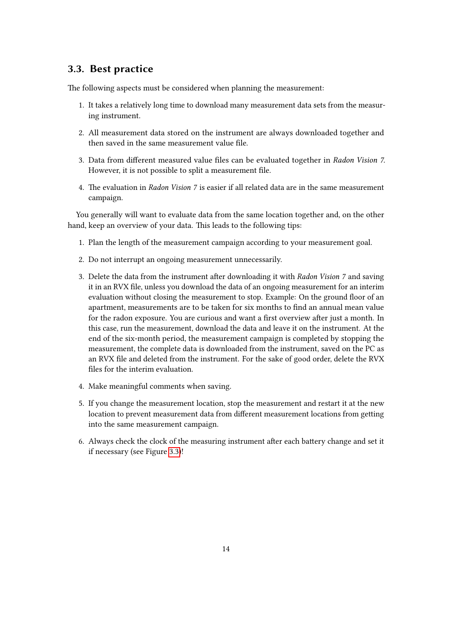## <span id="page-13-0"></span>3.3. Best practice

The following aspects must be considered when planning the measurement:

- 1. It takes a relatively long time to download many measurement data sets from the measuring instrument.
- 2. All measurement data stored on the instrument are always downloaded together and then saved in the same measurement value file.
- 3. Data from different measured value files can be evaluated together in Radon Vision 7. However, it is not possible to split a measurement file.
- 4. The evaluation in Radon Vision 7 is easier if all related data are in the same measurement campaign.

You generally will want to evaluate data from the same location together and, on the other hand, keep an overview of your data. This leads to the following tips:

- 1. Plan the length of the measurement campaign according to your measurement goal.
- 2. Do not interrupt an ongoing measurement unnecessarily.
- 3. Delete the data from the instrument after downloading it with Radon Vision 7 and saving it in an RVX file, unless you download the data of an ongoing measurement for an interim evaluation without closing the measurement to stop. Example: On the ground floor of an apartment, measurements are to be taken for six months to find an annual mean value for the radon exposure. You are curious and want a first overview after just a month. In this case, run the measurement, download the data and leave it on the instrument. At the end of the six-month period, the measurement campaign is completed by stopping the measurement, the complete data is downloaded from the instrument, saved on the PC as an RVX file and deleted from the instrument. For the sake of good order, delete the RVX files for the interim evaluation.
- 4. Make meaningful comments when saving.
- 5. If you change the measurement location, stop the measurement and restart it at the new location to prevent measurement data from different measurement locations from getting into the same measurement campaign.
- 6. Always check the clock of the measuring instrument after each battery change and set it if necessary (see Figure [3.3\)](#page-14-3)!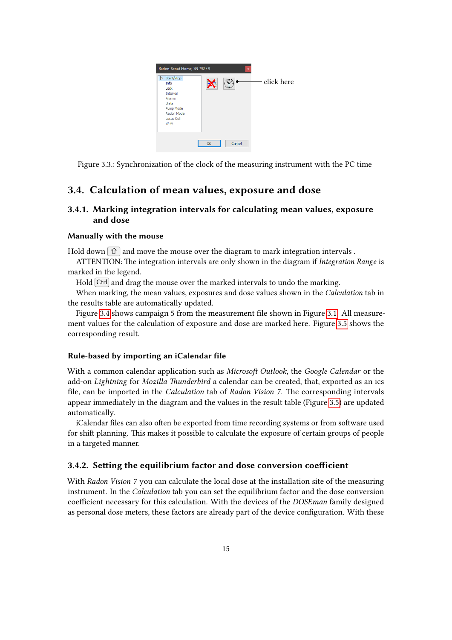<span id="page-14-3"></span>

Figure 3.3.: Synchronization of the clock of the measuring instrument with the PC time

## <span id="page-14-0"></span>3.4. Calculation of mean values, exposure and dose

### <span id="page-14-1"></span>3.4.1. Marking integration intervals for calculating mean values, exposure and dose

#### Manually with the mouse

Hold down  $\boxed{\hat{u}}$  and move the mouse over the diagram to mark integration intervals.

ATTENTION: The integration intervals are only shown in the diagram if Integration Range is marked in the legend.

Hold Ctrl and drag the mouse over the marked intervals to undo the marking.

When marking, the mean values, exposures and dose values shown in the *Calculation* tab in the results table are automatically updated.

Figure [3.4](#page-15-0) shows campaign 5 from the measurement file shown in Figure [3.1.](#page-12-0) All measurement values for the calculation of exposure and dose are marked here. Figure [3.5](#page-15-1) shows the corresponding result.

#### Rule-based by importing an iCalendar file

With a common calendar application such as *Microsoft Outlook*, the *Google Calendar* or the add-on Lightning for Mozilla Thunderbird a calendar can be created, that, exported as an ics file, can be imported in the Calculation tab of Radon Vision 7. The corresponding intervals appear immediately in the diagram and the values in the result table (Figure [3.5\)](#page-15-1) are updated automatically.

iCalendar files can also often be exported from time recording systems or from software used for shift planning. This makes it possible to calculate the exposure of certain groups of people in a targeted manner.

#### <span id="page-14-2"></span>3.4.2. Setting the equilibrium factor and dose conversion coefficient

With Radon Vision 7 you can calculate the local dose at the installation site of the measuring instrument. In the Calculation tab you can set the equilibrium factor and the dose conversion coefficient necessary for this calculation. With the devices of the DOSEman family designed as personal dose meters, these factors are already part of the device configuration. With these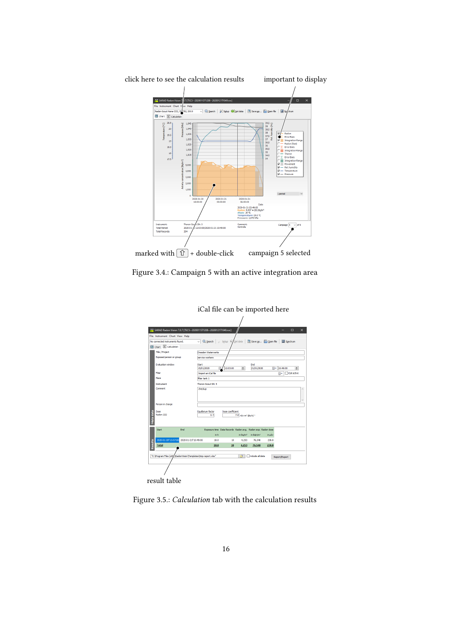<span id="page-15-0"></span>

<span id="page-15-1"></span>Figure 3.4.: Campaign 5 with an active integration area

| iCal file can be imported here  |                     |                                                                   |                             |                                             |                       |        |                   |                |
|---------------------------------|---------------------|-------------------------------------------------------------------|-----------------------------|---------------------------------------------|-----------------------|--------|-------------------|----------------|
|                                 |                     |                                                                   |                             |                                             |                       |        |                   |                |
|                                 |                     | SARAD Radon Vision 7.0.7 [TSC5--20200115T1208--20200121T1049.rvx] |                             |                                             |                       |        |                   | n.<br>$\times$ |
| File Instrument Chart View Help |                     |                                                                   |                             |                                             |                       |        |                   |                |
| No connected instruments found. |                     | $\overline{\smile}$ $\overline{\mathbb{Q}}$ Search<br>$\circ$     | Setup <sup>6</sup> Get data |                                             | Save as @ Open file   |        | Spectrum          |                |
| Chart 21 Calculation            |                     |                                                                   |                             |                                             |                       |        |                   |                |
| <b>Title / Protect</b>          |                     | Dresden Waterwerks                                                |                             |                                             |                       |        |                   |                |
| Exposed person or group         |                     | service workers                                                   |                             |                                             |                       |        |                   |                |
| <b>Evaluation window</b>        |                     | Start                                                             |                             |                                             | <b>Fod</b>            |        |                   |                |
|                                 |                     | 15/01/2020<br>屇                                                   | 12:03:00                    | H                                           | 21/01/2020            |        | $\Box$ + 10:49:00 | M              |
| Filter                          |                     | Import an iCal file                                               |                             |                                             |                       |        | ⊪                 | □ Cal active   |
| Place                           |                     | filter tank 1                                                     |                             |                                             |                       |        |                   |                |
| Instrument                      |                     | Thoron-Scout SN: 5                                                |                             |                                             |                       |        |                   |                |
| Comment                         |                     | chedan                                                            |                             |                                             |                       |        |                   |                |
| Person in charge                |                     |                                                                   |                             |                                             |                       |        |                   |                |
| Meta data<br>Dose<br>Radon-222  |                     | Equilibrium factor<br>0.4                                         | Dose coefficient            | 7.8 nSv m <sup>3</sup> (Bq h) <sup>-1</sup> |                       |        |                   |                |
| Start                           | End                 | Exposure time Data Records Radon avg. Radon exp. Radon dose       |                             |                                             |                       |        |                   |                |
|                                 |                     | <b>In h</b>                                                       |                             | in Ba/m <sup>3</sup>                        | in Bqh/m <sup>3</sup> | in uSv |                   |                |
| 2020-01-20T13:57:00<br>Results  | 2020-01-21T10:49:00 | 18.0                                                              | 18                          | 4,253                                       | 76.548                | 238.8  |                   |                |
| <b>Total</b>                    |                     | 18.0                                                              | 18                          | 4,253                                       | 76,548                | 238.8  |                   |                |
|                                 |                     |                                                                   |                             |                                             |                       |        |                   |                |
|                                 |                     | "C:\Program Files (x8f/,\Radon\\ision\Templates\tmp-report.xlsx"  |                             | 鸥                                           | ndude al data         |        | Report/Export     |                |
|                                 |                     |                                                                   |                             |                                             |                       |        |                   |                |
| result table                    |                     |                                                                   |                             |                                             |                       |        |                   |                |

Figure 3.5.: Calculation tab with the calculation results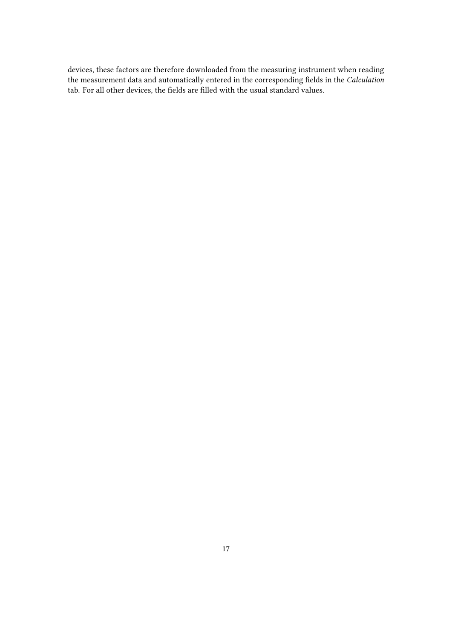devices, these factors are therefore downloaded from the measuring instrument when reading the measurement data and automatically entered in the corresponding fields in the Calculation tab. For all other devices, the fields are filled with the usual standard values.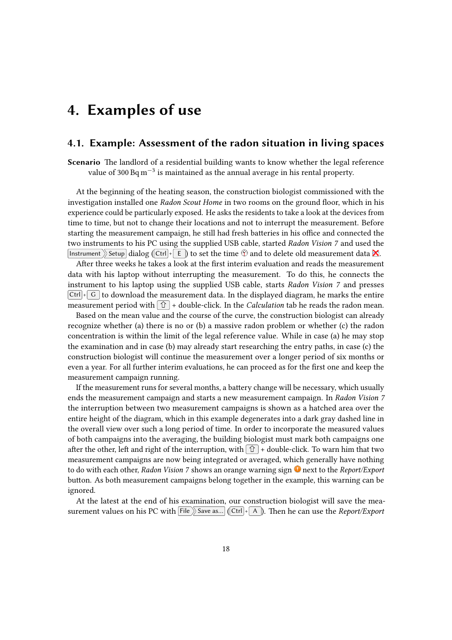## <span id="page-17-0"></span>4. Examples of use

### <span id="page-17-1"></span>4.1. Example: Assessment of the radon situation in living spaces

Scenario The landlord of a residential building wants to know whether the legal reference value of 300  $\text{Bq}\,\text{m}^{-3}$  is maintained as the annual average in his rental property.

At the beginning of the heating season, the construction biologist commissioned with the investigation installed one Radon Scout Home in two rooms on the ground floor, which in his experience could be particularly exposed. He asks the residents to take a look at the devices from time to time, but not to change their locations and not to interrupt the measurement. Before starting the measurement campaign, he still had fresh batteries in his office and connected the two instruments to his PC using the supplied USB cable, started Radon Vision 7 and used the Instrument Setup dialog (Ctrl + E) to set the time  $\mathcal{O}$  and to delete old measurement data  $\mathbf{\hat{X}}$ .

After three weeks he takes a look at the first interim evaluation and reads the measurement data with his laptop without interrupting the measurement. To do this, he connects the instrument to his laptop using the supplied USB cable, starts Radon Vision 7 and presses  $\boxed{\text{Ctrl}}$   $\boxed{\text{ G}}$  to download the measurement data. In the displayed diagram, he marks the entire measurement period with  $\hat{u}$  + double-click. In the *Calculation* tab he reads the radon mean.

Based on the mean value and the course of the curve, the construction biologist can already recognize whether (a) there is no or (b) a massive radon problem or whether (c) the radon concentration is within the limit of the legal reference value. While in case (a) he may stop the examination and in case (b) may already start researching the entry paths, in case (c) the construction biologist will continue the measurement over a longer period of six months or even a year. For all further interim evaluations, he can proceed as for the first one and keep the measurement campaign running.

If the measurement runs for several months, a battery change will be necessary, which usually ends the measurement campaign and starts a new measurement campaign. In Radon Vision 7 the interruption between two measurement campaigns is shown as a hatched area over the entire height of the diagram, which in this example degenerates into a dark gray dashed line in the overall view over such a long period of time. In order to incorporate the measured values of both campaigns into the averaging, the building biologist must mark both campaigns one after the other, left and right of the interruption, with  $\hat{u}$  + double-click. To warn him that two measurement campaigns are now being integrated or averaged, which generally have nothing to do with each other, Radon Vision 7 shows an orange warning sign  $\bullet$  next to the Report/Export button. As both measurement campaigns belong together in the example, this warning can be ignored.

At the latest at the end of his examination, our construction biologist will save the measurement values on his PC with  $\overline{\text{File}}$  Save as... (Ctrl + A ). Then he can use the Report/Export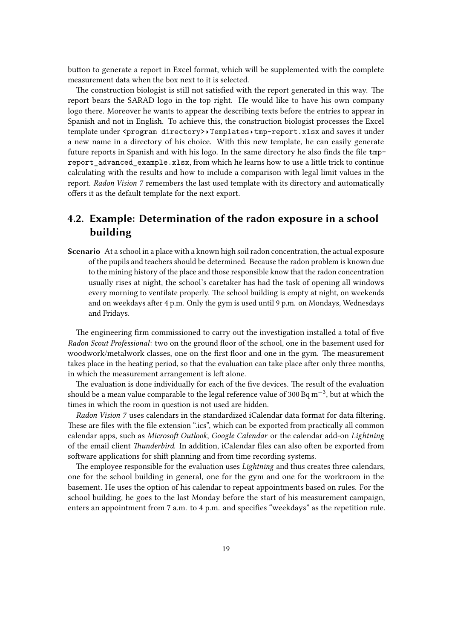button to generate a report in Excel format, which will be supplemented with the complete measurement data when the box next to it is selected.

The construction biologist is still not satisfied with the report generated in this way. The report bears the SARAD logo in the top right. He would like to have his own company logo there. Moreover he wants to appear the describing texts before the entries to appear in Spanish and not in English. To achieve this, the construction biologist processes the Excel template under <program directory>>Templates tmp-report.xlsx and saves it under a new name in a directory of his choice. With this new template, he can easily generate future reports in Spanish and with his logo. In the same directory he also finds the file tmpreport advanced example.xlsx, from which he learns how to use a little trick to continue calculating with the results and how to include a comparison with legal limit values in the report. Radon Vision 7 remembers the last used template with its directory and automatically offers it as the default template for the next export.

## <span id="page-18-0"></span>4.2. Example: Determination of the radon exposure in a school building

Scenario At a school in a place with a known high soil radon concentration, the actual exposure of the pupils and teachers should be determined. Because the radon problem is known due to the mining history of the place and those responsible know that the radon concentration usually rises at night, the school's caretaker has had the task of opening all windows every morning to ventilate properly. The school building is empty at night, on weekends and on weekdays after 4 p.m. Only the gym is used until 9 p.m. on Mondays, Wednesdays and Fridays.

The engineering firm commissioned to carry out the investigation installed a total of five Radon Scout Professional: two on the ground floor of the school, one in the basement used for woodwork/metalwork classes, one on the first floor and one in the gym. The measurement takes place in the heating period, so that the evaluation can take place after only three months, in which the measurement arrangement is left alone.

The evaluation is done individually for each of the five devices. The result of the evaluation should be a mean value comparable to the legal reference value of 300 Bq  $m^{-3}$ , but at which the times in which the room in question is not used are hidden.

Radon Vision 7 uses calendars in the standardized iCalendar data format for data filtering. These are files with the file extension ".ics", which can be exported from practically all common calendar apps, such as Microsoft Outlook, Google Calendar or the calendar add-on Lightning of the email client Thunderbird. In addition, iCalendar files can also often be exported from software applications for shift planning and from time recording systems.

The employee responsible for the evaluation uses *Lightning* and thus creates three calendars, one for the school building in general, one for the gym and one for the workroom in the basement. He uses the option of his calendar to repeat appointments based on rules. For the school building, he goes to the last Monday before the start of his measurement campaign, enters an appointment from 7 a.m. to 4 p.m. and specifies "weekdays" as the repetition rule.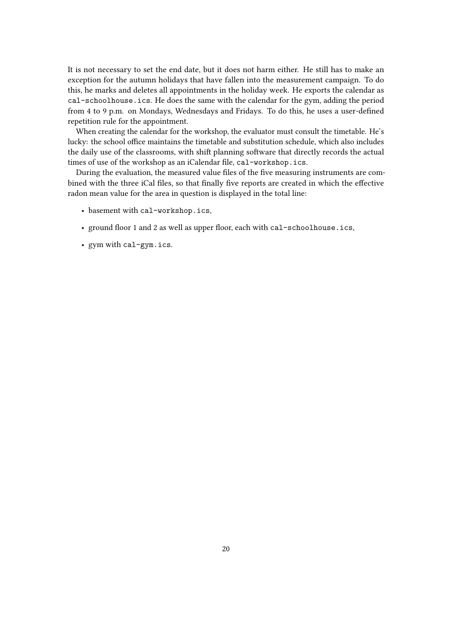It is not necessary to set the end date, but it does not harm either. He still has to make an exception for the autumn holidays that have fallen into the measurement campaign. To do this, he marks and deletes all appointments in the holiday week. He exports the calendar as cal-schoolhouse.ics. He does the same with the calendar for the gym, adding the period from 4 to 9 p.m. on Mondays, Wednesdays and Fridays. To do this, he uses a user-defined repetition rule for the appointment.

When creating the calendar for the workshop, the evaluator must consult the timetable. He's lucky: the school office maintains the timetable and substitution schedule, which also includes the daily use of the classrooms, with shift planning software that directly records the actual times of use of the workshop as an iCalendar file, cal-workshop.ics.

During the evaluation, the measured value files of the five measuring instruments are combined with the three iCal files, so that finally five reports are created in which the effective radon mean value for the area in question is displayed in the total line:

- basement with cal-workshop.ics,
- ground floor 1 and 2 as well as upper floor, each with cal-schoolhouse.ics,
- gym with cal-gym.ics.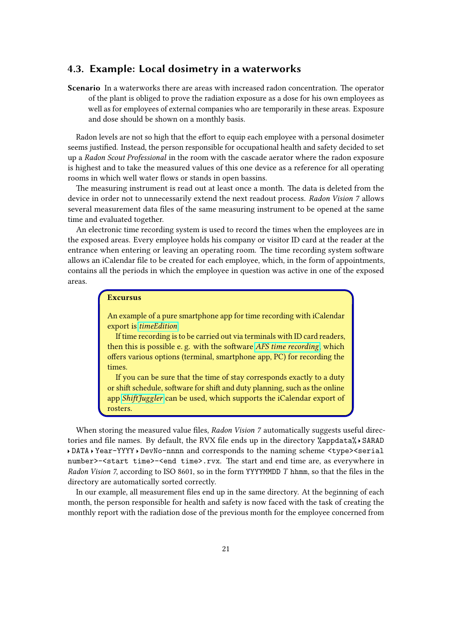## <span id="page-20-0"></span>4.3. Example: Local dosimetry in a waterworks

Scenario In a waterworks there are areas with increased radon concentration. The operator of the plant is obliged to prove the radiation exposure as a dose for his own employees as well as for employees of external companies who are temporarily in these areas. Exposure and dose should be shown on a monthly basis.

Radon levels are not so high that the effort to equip each employee with a personal dosimeter seems justified. Instead, the person responsible for occupational health and safety decided to set up a Radon Scout Professional in the room with the cascade aerator where the radon exposure is highest and to take the measured values of this one device as a reference for all operating rooms in which well water flows or stands in open bassins.

The measuring instrument is read out at least once a month. The data is deleted from the device in order not to unnecessarily extend the next readout process. Radon Vision 7 allows several measurement data files of the same measuring instrument to be opened at the same time and evaluated together.

An electronic time recording system is used to record the times when the employees are in the exposed areas. Every employee holds his company or visitor ID card at the reader at the entrance when entering or leaving an operating room. The time recording system software allows an iCalendar file to be created for each employee, which, in the form of appointments, contains all the periods in which the employee in question was active in one of the exposed areas.

#### Excursus

An example of a pure smartphone app for time recording with iCalendar export is [timeEdition](https://www.mamp.info/timeedition/en).

If time recording is to be carried out via terminals with ID card readers, then this is possible e. g. with the software [AFS time recording](https://www.afs-manager.de/Produkte/Backoffice-Produkte/AFS-Zeiterfassung--a534), which offers various options (terminal, smartphone app, PC) for recording the times.

If you can be sure that the time of stay corresponds exactly to a duty or shift schedule, software for shift and duty planning, such as the online app [ShiftJuggler](https://www.shiftjuggler.com/de) can be used, which supports the iCalendar export of rosters.

When storing the measured value files, Radon Vision 7 automatically suggests useful directories and file names. By default, the RVX file ends up in the directory %appdata% > SARAD DATA Year-YYYY DevNo-nnnn and corresponds to the naming scheme <type><serial number>-<start time>-<end time>.rvx. The start and end time are, as everywhere in Radon Vision 7, according to ISO 8601, so in the form YYYYMMDD T hhmm, so that the files in the directory are automatically sorted correctly.

In our example, all measurement files end up in the same directory. At the beginning of each month, the person responsible for health and safety is now faced with the task of creating the monthly report with the radiation dose of the previous month for the employee concerned from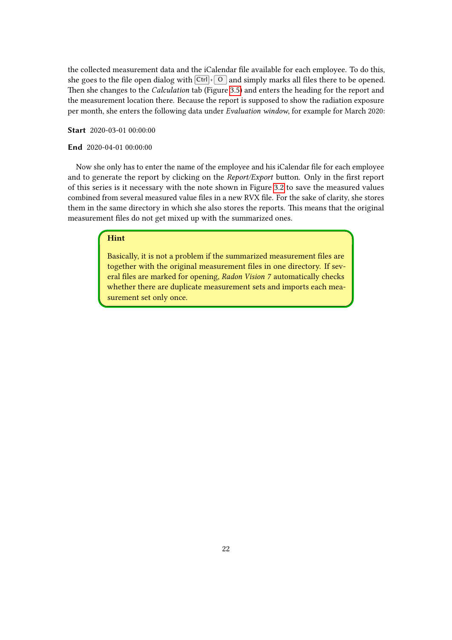the collected measurement data and the iCalendar file available for each employee. To do this, she goes to the file open dialog with  $\overline{\text{Ctrl}} + \overline{\text{O}}$  and simply marks all files there to be opened. Then she changes to the Calculation tab (Figure [3.5\)](#page-15-1) and enters the heading for the report and the measurement location there. Because the report is supposed to show the radiation exposure per month, she enters the following data under Evaluation window, for example for March 2020:

Start 2020-03-01 00:00:00

#### End 2020-04-01 00:00:00

Now she only has to enter the name of the employee and his iCalendar file for each employee and to generate the report by clicking on the Report/Export button. Only in the first report of this series is it necessary with the note shown in Figure [3.2](#page-12-1) to save the measured values combined from several measured value files in a new RVX file. For the sake of clarity, she stores them in the same directory in which she also stores the reports. This means that the original measurement files do not get mixed up with the summarized ones.

### Hint

Basically, it is not a problem if the summarized measurement files are together with the original measurement files in one directory. If several files are marked for opening, Radon Vision 7 automatically checks whether there are duplicate measurement sets and imports each measurement set only once.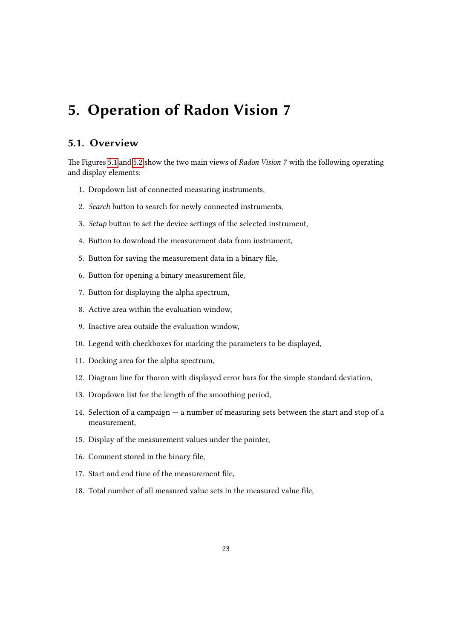## <span id="page-22-0"></span>5. Operation of Radon Vision 7

## <span id="page-22-1"></span>5.1. Overview

The Figures [5.1](#page-23-0) and [5.2](#page-24-0) show the two main views of Radon Vision 7 with the following operating and display elements:

- 1. Dropdown list of connected measuring instruments,
- 2. Search button to search for newly connected instruments,
- 3. Setup button to set the device settings of the selected instrument,
- 4. Button to download the measurement data from instrument,
- 5. Button for saving the measurement data in a binary file,
- 6. Button for opening a binary measurement file,
- 7. Button for displaying the alpha spectrum,
- 8. Active area within the evaluation window,
- 9. Inactive area outside the evaluation window,
- 10. Legend with checkboxes for marking the parameters to be displayed,
- 11. Docking area for the alpha spectrum,
- 12. Diagram line for thoron with displayed error bars for the simple standard deviation,
- 13. Dropdown list for the length of the smoothing period,
- 14. Selection of a campaign a number of measuring sets between the start and stop of a measurement,
- 15. Display of the measurement values under the pointer,
- 16. Comment stored in the binary file,
- 17. Start and end time of the measurement file,
- 18. Total number of all measured value sets in the measured value file,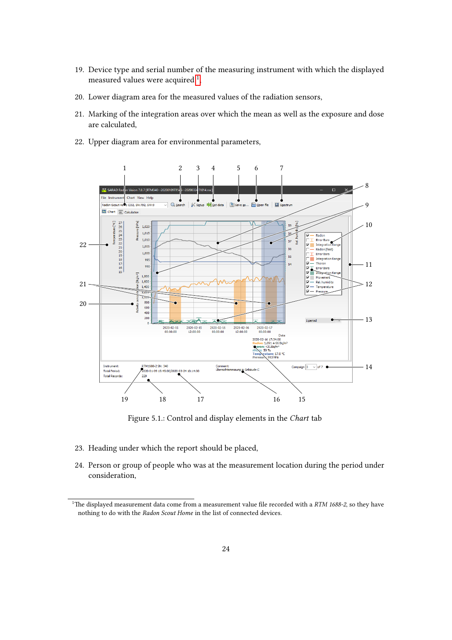- 19. Device type and serial number of the measuring instrument with which the displayed measured values were acquired  $^1,$  $^1,$  $^1,$
- 20. Lower diagram area for the measured values of the radiation sensors,
- 21. Marking of the integration areas over which the mean as well as the exposure and dose are calculated,
- 22. Upper diagram area for environmental parameters,

<span id="page-23-0"></span>

Figure 5.1.: Control and display elements in the Chart tab

- 23. Heading under which the report should be placed,
- 24. Person or group of people who was at the measurement location during the period under consideration,

<span id="page-23-1"></span><sup>&</sup>lt;sup>1</sup>The displayed measurement data come from a measurement value file recorded with a  $RTM$  1688-2, so they have nothing to do with the Radon Scout Home in the list of connected devices.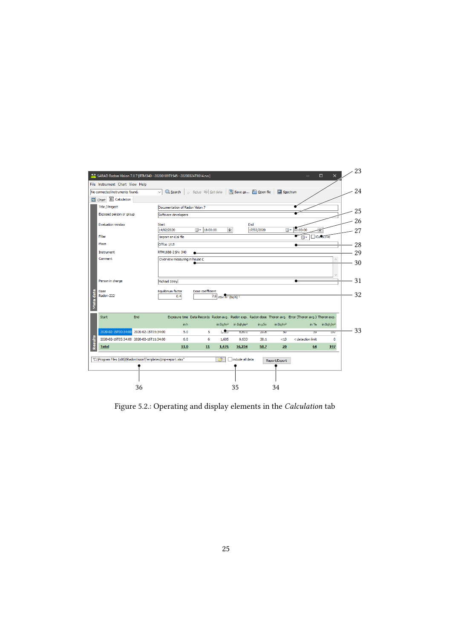<span id="page-24-0"></span>

| No connected instruments found.         | File Instrument Chart View Help | $\vee$ Q, Search                | $\circ$ Setup $\mathbb{R}$ Get data |                           | Save as <b>@</b> Open file |                          | Spectrum                |                                                                                                         |                       | 24       |
|-----------------------------------------|---------------------------------|---------------------------------|-------------------------------------|---------------------------|----------------------------|--------------------------|-------------------------|---------------------------------------------------------------------------------------------------------|-----------------------|----------|
| Chart 31 Calculation                    |                                 |                                 |                                     |                           |                            |                          |                         |                                                                                                         |                       |          |
| <b>Title / Project</b>                  |                                 | Documentation of Radon Vision 7 |                                     |                           |                            |                          |                         |                                                                                                         |                       | 25       |
| Exposed person or group                 |                                 | Software developers             |                                     |                           |                            |                          |                         |                                                                                                         |                       |          |
| Evaluation window                       | <b>Start</b>                    | 14/02/2020                      | $\mathbb{R}$ + 18:00:00             | $\div$                    |                            | <b>End</b><br>17/02/2020 |                         | <b>III - 00:00:00</b>                                                                                   |                       | 26<br>27 |
| Filter                                  |                                 | Import an iCal file             |                                     |                           |                            |                          |                         | 圖▼                                                                                                      | <b>Calcuve</b>        |          |
| Place                                   |                                 | Office 1/15                     |                                     |                           |                            |                          |                         |                                                                                                         |                       | 28       |
| Instrument                              |                                 | RTM1688-2 SN: 340               |                                     |                           |                            |                          |                         |                                                                                                         |                       | 29       |
| Person in charge                        |                                 | Michael Strey                   |                                     |                           |                            |                          |                         |                                                                                                         |                       | 31       |
| Dose                                    |                                 | Equilibrium factor<br>0.4       | Dose coefficient                    | 7.8 $nSv m^3 (Bq h)^{-1}$ |                            |                          |                         |                                                                                                         |                       | 32       |
| Radon-222                               |                                 |                                 |                                     |                           |                            |                          |                         |                                                                                                         |                       |          |
| End<br><b>Start</b>                     |                                 |                                 |                                     |                           |                            |                          |                         | Exposure time Data Records Radon avg. Radon exp. Radon dose Thoron avg. Error (Thoron avg.) Thoron exp. |                       |          |
|                                         |                                 | in h                            |                                     | in $Bq/m3$                | in Bqh/m <sup>3</sup>      | in µSv                   | in $Bq/m3$              | in $%$                                                                                                  | in Bqh/m <sup>3</sup> |          |
| Meta data<br>2020-02-15T00:34:00        | 2020-02-15T05:34:00             | 5.0                             | 5                                   | 1.2 <sub>0</sub>          | 0.001                      | 20.0                     | $\overline{\mathbf{v}}$ | ञ्ज                                                                                                     | 137                   | 33       |
| 2020-02-16T05:34:00 2020-02-16T11:34:00 |                                 | 6.0                             | 6                                   | 1,605                     | 9,633                      | 30.1                     | < 13                    | < detection limit                                                                                       | o                     |          |
| Results<br><b>Total</b>                 |                                 | 11.0                            | 11                                  | 1,476                     | 16,234                     | 50.7                     | 20                      | 64                                                                                                      | 197                   |          |

Figure 5.2.: Operating and display elements in the Calculation tab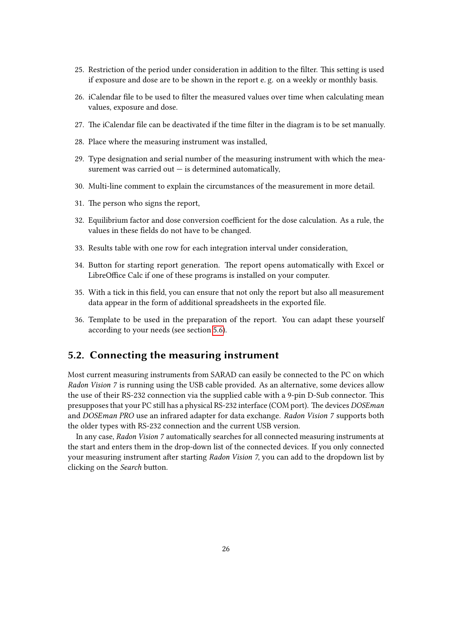- 25. Restriction of the period under consideration in addition to the filter. This setting is used if exposure and dose are to be shown in the report e. g. on a weekly or monthly basis.
- 26. iCalendar file to be used to filter the measured values over time when calculating mean values, exposure and dose.
- 27. The iCalendar file can be deactivated if the time filter in the diagram is to be set manually.
- 28. Place where the measuring instrument was installed,
- 29. Type designation and serial number of the measuring instrument with which the measurement was carried out  $-$  is determined automatically,
- 30. Multi-line comment to explain the circumstances of the measurement in more detail.
- 31. The person who signs the report,
- 32. Equilibrium factor and dose conversion coefficient for the dose calculation. As a rule, the values in these fields do not have to be changed.
- 33. Results table with one row for each integration interval under consideration,
- 34. Button for starting report generation. The report opens automatically with Excel or LibreOffice Calc if one of these programs is installed on your computer.
- 35. With a tick in this field, you can ensure that not only the report but also all measurement data appear in the form of additional spreadsheets in the exported file.
- 36. Template to be used in the preparation of the report. You can adapt these yourself according to your needs (see section [5.6\)](#page-43-1).

## <span id="page-25-0"></span>5.2. Connecting the measuring instrument

Most current measuring instruments from SARAD can easily be connected to the PC on which Radon Vision 7 is running using the USB cable provided. As an alternative, some devices allow the use of their RS-232 connection via the supplied cable with a 9-pin D-Sub connector. This presupposes that your PC still has a physical RS-232 interface (COM port). The devices DOSEman and DOSEman PRO use an infrared adapter for data exchange. Radon Vision 7 supports both the older types with RS-232 connection and the current USB version.

In any case, Radon Vision 7 automatically searches for all connected measuring instruments at the start and enters them in the drop-down list of the connected devices. If you only connected your measuring instrument after starting Radon Vision 7, you can add to the dropdown list by clicking on the Search button.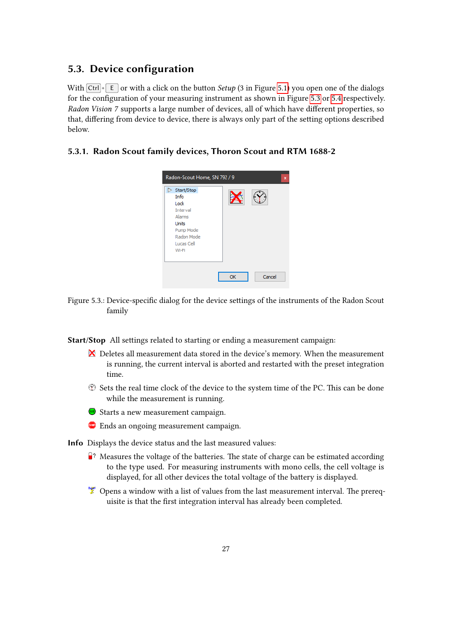## <span id="page-26-0"></span>5.3. Device configuration

With  $\overline{[Ctr] + [E]}$  or with a click on the button *Setup* (3 in Figure [5.1\)](#page-23-0) you open one of the dialogs for the configuration of your measuring instrument as shown in Figure [5.3](#page-26-2) or [5.4](#page-28-1) respectively. Radon Vision 7 supports a large number of devices, all of which have different properties, so that, differing from device to device, there is always only part of the setting options described below.

#### <span id="page-26-2"></span><span id="page-26-1"></span>5.3.1. Radon Scout family devices, Thoron Scout and RTM 1688-2



Figure 5.3.: Device-specific dialog for the device settings of the instruments of the Radon Scout family

Start/Stop All settings related to starting or ending a measurement campaign:

- $\mathbf{\Sigma}$  Deletes all measurement data stored in the device's memory. When the measurement is running, the current interval is aborted and restarted with the preset integration time.
- $\heartsuit$  Sets the real time clock of the device to the system time of the PC. This can be done while the measurement is running.
- Starts a new measurement campaign.
- **Ends an ongoing measurement campaign.**

Info Displays the device status and the last measured values:

- $\mathbb{R}^2$  Measures the voltage of the batteries. The state of charge can be estimated according to the type used. For measuring instruments with mono cells, the cell voltage is displayed, for all other devices the total voltage of the battery is displayed.
- $\mathcal{L}$  Opens a window with a list of values from the last measurement interval. The prerequisite is that the first integration interval has already been completed.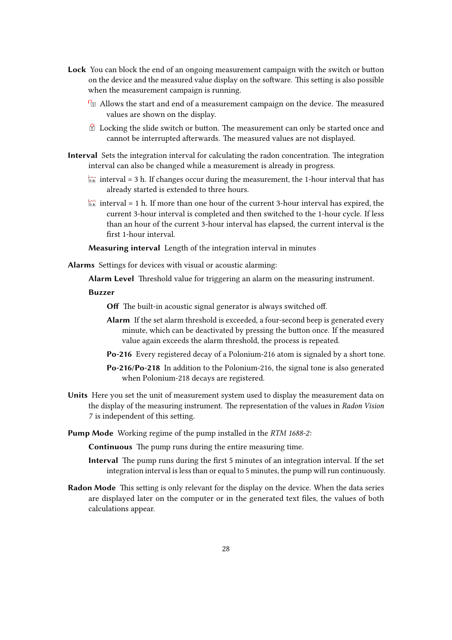- Lock You can block the end of an ongoing measurement campaign with the switch or button on the device and the measured value display on the software. This setting is also possible when the measurement campaign is running.
	- **E** Allows the start and end of a measurement campaign on the device. The measured values are shown on the display.
	- $\Theta$  Locking the slide switch or button. The measurement can only be started once and cannot be interrupted afterwards. The measured values are not displayed.
- Interval Sets the integration interval for calculating the radon concentration. The integration interval can also be changed while a measurement is already in progress.
	- $\overline{\mathbb{F}}$  interval = 3 h. If changes occur during the measurement, the 1-hour interval that has already started is extended to three hours.
	- interval = 1 h. If more than one hour of the current 3-hour interval has expired, the current 3-hour interval is completed and then switched to the 1-hour cycle. If less than an hour of the current 3-hour interval has elapsed, the current interval is the first 1-hour interval.

Measuring interval Length of the integration interval in minutes

Alarms Settings for devices with visual or acoustic alarming:

Alarm Level Threshold value for triggering an alarm on the measuring instrument.

Buzzer

Off The built-in acoustic signal generator is always switched off.

- Alarm If the set alarm threshold is exceeded, a four-second beep is generated every minute, which can be deactivated by pressing the button once. If the measured value again exceeds the alarm threshold, the process is repeated.
- Po-216 Every registered decay of a Polonium-216 atom is signaled by a short tone.
- Po-216/Po-218 In addition to the Polonium-216, the signal tone is also generated when Polonium-218 decays are registered.
- Units Here you set the unit of measurement system used to display the measurement data on the display of the measuring instrument. The representation of the values in Radon Vision 7 is independent of this setting.
- Pump Mode Working regime of the pump installed in the RTM 1688-2:

Continuous The pump runs during the entire measuring time.

- Interval The pump runs during the first 5 minutes of an integration interval. If the set integration interval is less than or equal to 5 minutes, the pump will run continuously.
- Radon Mode This setting is only relevant for the display on the device. When the data series are displayed later on the computer or in the generated text files, the values of both calculations appear.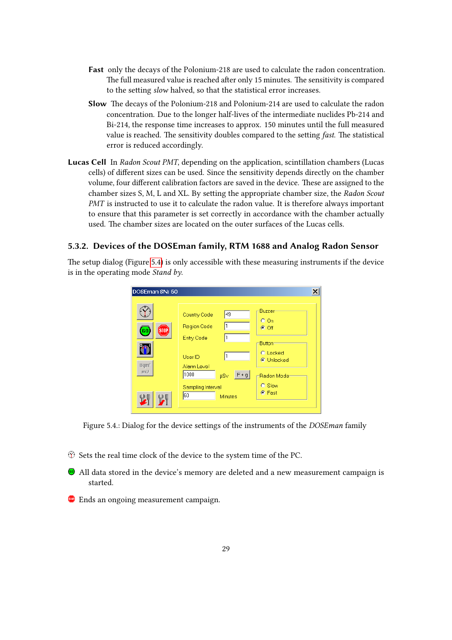- Fast only the decays of the Polonium-218 are used to calculate the radon concentration. The full measured value is reached after only 15 minutes. The sensitivity is compared to the setting slow halved, so that the statistical error increases.
- Slow The decays of the Polonium-218 and Polonium-214 are used to calculate the radon concentration. Due to the longer half-lives of the intermediate nuclides Pb-214 and Bi-214, the response time increases to approx. 150 minutes until the full measured value is reached. The sensitivity doubles compared to the setting fast. The statistical error is reduced accordingly.
- Lucas Cell In Radon Scout PMT, depending on the application, scintillation chambers (Lucas cells) of different sizes can be used. Since the sensitivity depends directly on the chamber volume, four different calibration factors are saved in the device. These are assigned to the chamber sizes S, M, L and XL. By setting the appropriate chamber size, the Radon Scout PMT is instructed to use it to calculate the radon value. It is therefore always important to ensure that this parameter is set correctly in accordance with the chamber actually used. The chamber sizes are located on the outer surfaces of the Lucas cells.

## <span id="page-28-0"></span>5.3.2. Devices of the DOSEman family, RTM 1688 and Analog Radon Sensor

<span id="page-28-1"></span>The setup dialog (Figure [5.4\)](#page-28-1) is only accessible with these measuring instruments if the device is in the operating mode *Stand by*.

| DOSEman SN: 60         |                                                                             | $\times$                                 |
|------------------------|-----------------------------------------------------------------------------|------------------------------------------|
| (STOP)<br>60           | 49<br>Country Code<br><b>Region Code</b><br><b>Entry Code</b>               | Buzzer<br>$O$ On<br>$C$ Off              |
| Bqm <sup>3</sup><br>mV | User ID<br>Alarm Level                                                      | Button-<br><b>O</b> Locked<br>C Unlocked |
|                        | 1000<br>$F + g$<br><b>µSv</b><br>Sampling Interval<br>160<br><b>Minutes</b> | -Radon Mode-<br>C Slow<br>C Fast         |

Figure 5.4.: Dialog for the device settings of the instruments of the DOSEman family

- $\heartsuit$  Sets the real time clock of the device to the system time of the PC.
- All data stored in the device's memory are deleted and a new measurement campaign is started.
- **Ends an ongoing measurement campaign.**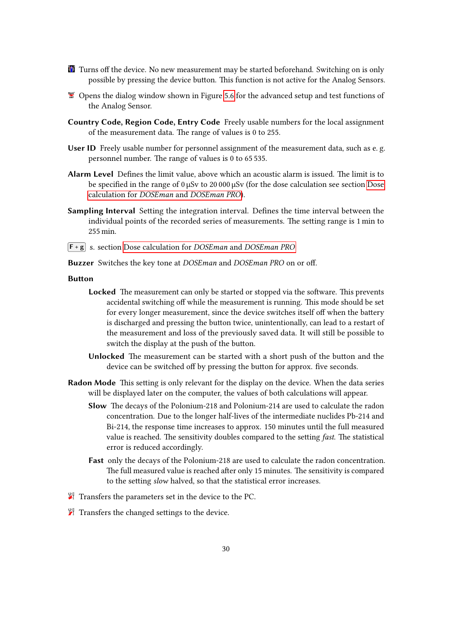- **Turns off the device.** No new measurement may be started beforehand. Switching on is only possible by pressing the device button. This function is not active for the Analog Sensors.
- $\mathcal{L}$  Opens the dialog window shown in Figure [5.6](#page-31-0) for the advanced setup and test functions of the Analog Sensor.
- Country Code, Region Code, Entry Code Freely usable numbers for the local assignment of the measurement data. The range of values is 0 to 255.
- User ID Freely usable number for personnel assignment of the measurement data, such as e. g. personnel number. The range of values is 0 to 65 535.
- Alarm Level Defines the limit value, above which an acoustic alarm is issued. The limit is to be specified in the range of 0 µSv to 20 000 µSv (for the dose calculation see section [Dose](#page-30-1) calculation for DOSEman and [DOSEman PRO](#page-30-1)).
- Sampling Interval Setting the integration interval. Defines the time interval between the individual points of the recorded series of measurements. The setting range is 1 min to 255 min.

 $\begin{bmatrix} \mathsf{F} + \mathsf{g} \end{bmatrix}$  s. section [Dose calculation for](#page-30-1) *DOSEman* and *DOSEman PRO* 

Buzzer Switches the key tone at DOSEman and DOSEman PRO on or off.

#### Button

- Locked The measurement can only be started or stopped via the software. This prevents accidental switching off while the measurement is running. This mode should be set for every longer measurement, since the device switches itself off when the battery is discharged and pressing the button twice, unintentionally, can lead to a restart of the measurement and loss of the previously saved data. It will still be possible to switch the display at the push of the button.
- Unlocked The measurement can be started with a short push of the button and the device can be switched off by pressing the button for approx. five seconds.
- Radon Mode This setting is only relevant for the display on the device. When the data series will be displayed later on the computer, the values of both calculations will appear.
	- Slow The decays of the Polonium-218 and Polonium-214 are used to calculate the radon concentration. Due to the longer half-lives of the intermediate nuclides Pb-214 and Bi-214, the response time increases to approx. 150 minutes until the full measured value is reached. The sensitivity doubles compared to the setting fast. The statistical error is reduced accordingly.
	- Fast only the decays of the Polonium-218 are used to calculate the radon concentration. The full measured value is reached after only 15 minutes. The sensitivity is compared to the setting slow halved, so that the statistical error increases.
- $\mathcal{F}$  Transfers the parameters set in the device to the PC.
- $\mathcal{F}$  Transfers the changed settings to the device.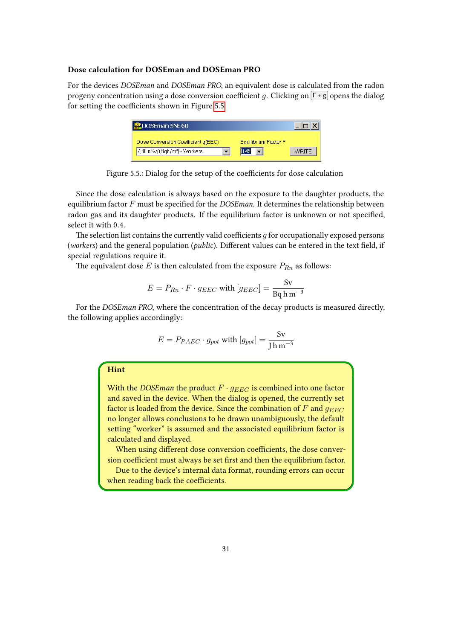#### <span id="page-30-1"></span>Dose calculation for DOSEman and DOSEman PRO

<span id="page-30-0"></span>For the devices DOSEman and DOSEman PRO, an equivalent dose is calculated from the radon progeny concentration using a dose conversion coefficient g. Clicking on  $\lceil \cdot \rceil$  opens the dialog for setting the coefficients shown in Figure [5.5.](#page-30-0)

| DOSEman SN: 60                           |                      |       |
|------------------------------------------|----------------------|-------|
| Dose Conversion Coefficient q(EEC)       | Equilibrium Factor F |       |
| 7,80 nSv/(Bqh/m <sup>®</sup> ) - Workers | 10.49                | WRITE |

Figure 5.5.: Dialog for the setup of the coefficients for dose calculation

Since the dose calculation is always based on the exposure to the daughter products, the equilibrium factor  $F$  must be specified for the DOSE man. It determines the relationship between radon gas and its daughter products. If the equilibrium factor is unknown or not specified, select it with 0.4.

The selection list contains the currently valid coefficients  $q$  for occupationally exposed persons (workers) and the general population (*public*). Different values can be entered in the text field, if special regulations require it.

The equivalent dose  $E$  is then calculated from the exposure  $P_{Rn}$  as follows:

$$
E = P_{Rn} \cdot F \cdot g_{EEC} \text{ with } [g_{EEC}] = \frac{\text{Sv}}{\text{Bq} \text{h m}^{-3}}
$$

For the DOSEman PRO, where the concentration of the decay products is measured directly, the following applies accordingly:

$$
E = P_{PAEC} \cdot g_{pot} \text{ with } [g_{pot}] = \frac{\text{Sv}}{\text{J} \text{h} \text{m}^{-3}}
$$

#### Hint

With the *DOSE man* the product  $F \cdot g_{EEC}$  is combined into one factor and saved in the device. When the dialog is opened, the currently set factor is loaded from the device. Since the combination of  $F$  and  $g_{EEC}$ no longer allows conclusions to be drawn unambiguously, the default setting "worker" is assumed and the associated equilibrium factor is calculated and displayed.

When using different dose conversion coefficients, the dose conversion coefficient must always be set first and then the equilibrium factor.

Due to the device's internal data format, rounding errors can occur when reading back the coefficients.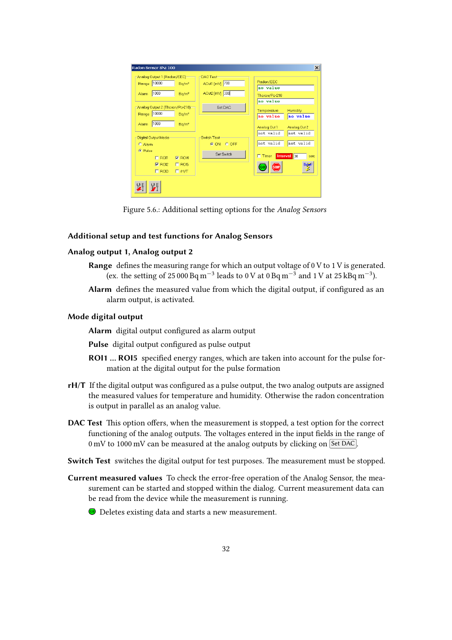<span id="page-31-0"></span>

| Radon Sensor SN: 100<br>-Analog Output 1 (Radon/EEC) | DAC Test           | $\vert x \vert$                         |
|------------------------------------------------------|--------------------|-----------------------------------------|
| 10000<br>Range<br>$Bq/m^3$                           | AOut1 [mV] 700     | Radon/EEC                               |
| 1000<br>Bq/m <sup>e</sup><br>Alarm                   | AOut2 [mV] 300     | no value<br>Thoron/Po-218               |
|                                                      |                    | no value                                |
| -Analog Output 2 (Thoron/Po-218)-<br>10000           | Set DAC            | <b>Humidity</b><br>Temperature          |
| Bq/m <sup>s</sup><br>Range                           |                    | no value<br>no value                    |
| 1000<br>Alarm<br>Bq/m <sup>o</sup>                   |                    | Analog Out 1<br>Analog Out 2            |
| Digital Output Mode:                                 | <b>Switch Test</b> | not valid<br>not valid                  |
| $O$ Alarm                                            | © ON C OFF         | not valid<br>not valid                  |
| C Pulse<br>$\Box$ ROI1<br>$\nabla$ ROI4              | Set Switch         | Interval 80<br>$\Box$ Timer<br>sec      |
| $\Gamma$ ROI5<br>$\nabla$ ROI2                       |                    | Bq/m <sup>3</sup><br><b>GO</b><br>Istni |
| $\Box$ ROI3<br>$\Box$ rH/T                           |                    |                                         |
|                                                      |                    |                                         |
|                                                      |                    |                                         |

Figure 5.6.: Additional setting options for the Analog Sensors

#### Additional setup and test functions for Analog Sensors

#### Analog output 1, Analog output 2

- Range defines the measuring range for which an output voltage of 0 V to 1 V is generated. (ex. the setting of 25 000 Bq m<sup>-3</sup> leads to 0 V at 0 Bq m<sup>-3</sup> and 1 V at 25 kBq m<sup>-3</sup>).
- Alarm defines the measured value from which the digital output, if configured as an alarm output, is activated.

#### Mode digital output

Alarm digital output configured as alarm output

- Pulse digital output configured as pulse output
- ROI1 ... ROI5 specified energy ranges, which are taken into account for the pulse formation at the digital output for the pulse formation
- rH/T If the digital output was configured as a pulse output, the two analog outputs are assigned the measured values for temperature and humidity. Otherwise the radon concentration is output in parallel as an analog value.
- DAC Test This option offers, when the measurement is stopped, a test option for the correct functioning of the analog outputs. The voltages entered in the input fields in the range of  $0 \text{ mV}$  to 1000 mV can be measured at the analog outputs by clicking on  $\sqrt{\text{Set DAC}}$ .
- Switch Test switches the digital output for test purposes. The measurement must be stopped.
- Current measured values To check the error-free operation of the Analog Sensor, the measurement can be started and stopped within the dialog. Current measurement data can be read from the device while the measurement is running.
	- **Deletes existing data and starts a new measurement.**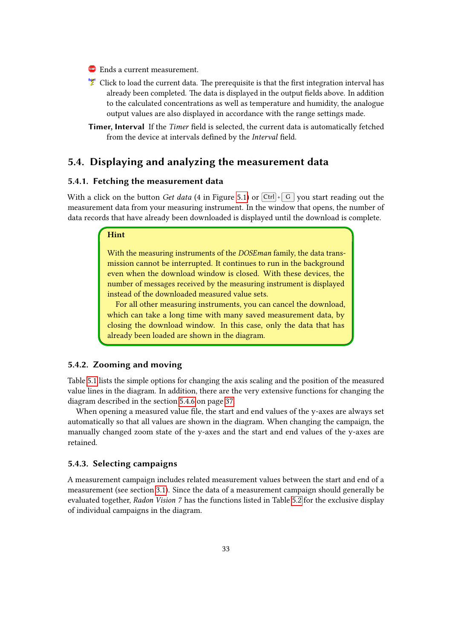- **Ends a current measurement.**
- Click to load the current data. The prerequisite is that the first integration interval has already been completed. The data is displayed in the output fields above. In addition to the calculated concentrations as well as temperature and humidity, the analogue output values are also displayed in accordance with the range settings made.
- Timer, Interval If the Timer field is selected, the current data is automatically fetched from the device at intervals defined by the Interval field.

## <span id="page-32-0"></span>5.4. Displaying and analyzing the measurement data

#### <span id="page-32-1"></span>5.4.1. Fetching the measurement data

With a click on the button Get data (4 in Figure [5.1\)](#page-23-0) or  $\overline{C \text{trl}} + \overline{G}$  you start reading out the measurement data from your measuring instrument. In the window that opens, the number of data records that have already been downloaded is displayed until the download is complete.

#### Hint

With the measuring instruments of the DOSEman family, the data transmission cannot be interrupted. It continues to run in the background even when the download window is closed. With these devices, the number of messages received by the measuring instrument is displayed instead of the downloaded measured value sets.

For all other measuring instruments, you can cancel the download, which can take a long time with many saved measurement data, by closing the download window. In this case, only the data that has already been loaded are shown in the diagram.

#### <span id="page-32-2"></span>5.4.2. Zooming and moving

Table [5.1](#page-33-1) lists the simple options for changing the axis scaling and the position of the measured value lines in the diagram. In addition, there are the very extensive functions for changing the diagram described in the section [5.4.6](#page-35-0) on page [37.](#page-36-1)

When opening a measured value file, the start and end values of the y-axes are always set automatically so that all values are shown in the diagram. When changing the campaign, the manually changed zoom state of the y-axes and the start and end values of the y-axes are retained.

#### <span id="page-32-3"></span>5.4.3. Selecting campaigns

A measurement campaign includes related measurement values between the start and end of a measurement (see section [3.1\)](#page-11-1). Since the data of a measurement campaign should generally be evaluated together, Radon Vision 7 has the functions listed in Table [5.2](#page-33-2) for the exclusive display of individual campaigns in the diagram.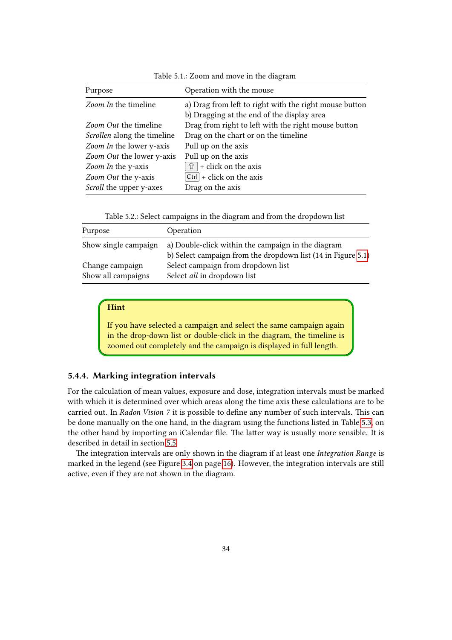<span id="page-33-1"></span>

| Purpose                        | Operation with the mouse                               |
|--------------------------------|--------------------------------------------------------|
| Zoom In the timeline           | a) Drag from left to right with the right mouse button |
|                                | b) Dragging at the end of the display area             |
| <i>Zoom Out</i> the timeline   | Drag from right to left with the right mouse button    |
| Scrollen along the timeline    | Drag on the chart or on the timeline                   |
| Zoom In the lower y-axis       | Pull up on the axis                                    |
| Zoom Out the lower y-axis      | Pull up on the axis                                    |
| Zoom In the y-axis             | $\boxed{\hat{v}}$ + click on the axis                  |
| Zoom Out the y-axis            | $ Ctrl   + click on the axis$                          |
| <i>Scroll</i> the upper y-axes | Drag on the axis                                       |

Table 5.1.: Zoom and move in the diagram

|  |  |  |  |  | Table 5.2.: Select campaigns in the diagram and from the dropdown list |  |
|--|--|--|--|--|------------------------------------------------------------------------|--|
|  |  |  |  |  |                                                                        |  |

<span id="page-33-2"></span>

| Purpose              | Operation                                                    |
|----------------------|--------------------------------------------------------------|
| Show single campaign | a) Double-click within the campaign in the diagram           |
|                      | b) Select campaign from the dropdown list (14 in Figure 5.1) |
| Change campaign      | Select campaign from dropdown list                           |
| Show all campaigns   | Select all in dropdown list                                  |

#### Hint

If you have selected a campaign and select the same campaign again in the drop-down list or double-click in the diagram, the timeline is zoomed out completely and the campaign is displayed in full length.

#### <span id="page-33-0"></span>5.4.4. Marking integration intervals

For the calculation of mean values, exposure and dose, integration intervals must be marked with which it is determined over which areas along the time axis these calculations are to be carried out. In Radon Vision 7 it is possible to define any number of such intervals. This can be done manually on the one hand, in the diagram using the functions listed in Table [5.3,](#page-34-1) on the other hand by importing an iCalendar file. The latter way is usually more sensible. It is described in detail in section [5.5.](#page-41-0)

The integration intervals are only shown in the diagram if at least one Integration Range is marked in the legend (see Figure [3.4](#page-15-0) on page [16\)](#page-15-0). However, the integration intervals are still active, even if they are not shown in the diagram.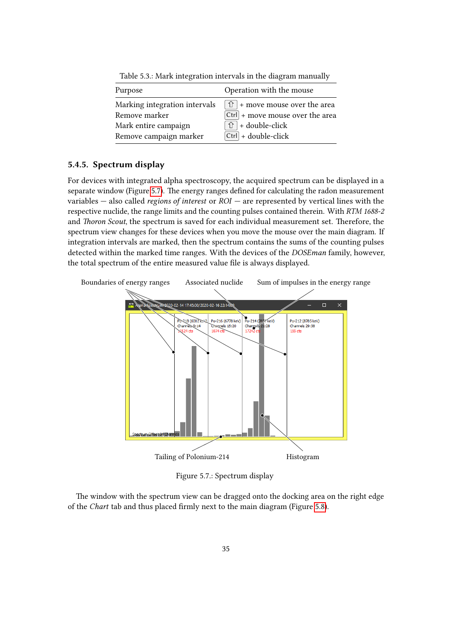<span id="page-34-1"></span>

| Purpose                       | Operation with the mouse             |
|-------------------------------|--------------------------------------|
| Marking integration intervals | $\hat{U}$ + move mouse over the area |
| Remove marker                 | $ $ Ctrl + move mouse over the area  |
| Mark entire campaign          | $\hat{U}$ + double-click             |
| Remove campaign marker        | $ Ctrl  + double-click$              |

Table 5.3.: Mark integration intervals in the diagram manually

#### <span id="page-34-0"></span>5.4.5. Spectrum display

For devices with integrated alpha spectroscopy, the acquired spectrum can be displayed in a separate window (Figure [5.7\)](#page-34-2). The energy ranges defined for calculating the radon measurement variables  $-$  also called *regions of interest* or  $ROI$  — are represented by vertical lines with the respective nuclide, the range limits and the counting pulses contained therein. With RTM 1688-2 and Thoron Scout, the spectrum is saved for each individual measurement set. Therefore, the spectrum view changes for these devices when you move the mouse over the main diagram. If integration intervals are marked, then the spectrum contains the sums of the counting pulses detected within the marked time ranges. With the devices of the *DOSE man* family, however, the total spectrum of the entire measured value file is always displayed.

<span id="page-34-2"></span>

Figure 5.7.: Spectrum display

The window with the spectrum view can be dragged onto the docking area on the right edge of the Chart tab and thus placed firmly next to the main diagram (Figure [5.8\)](#page-35-1).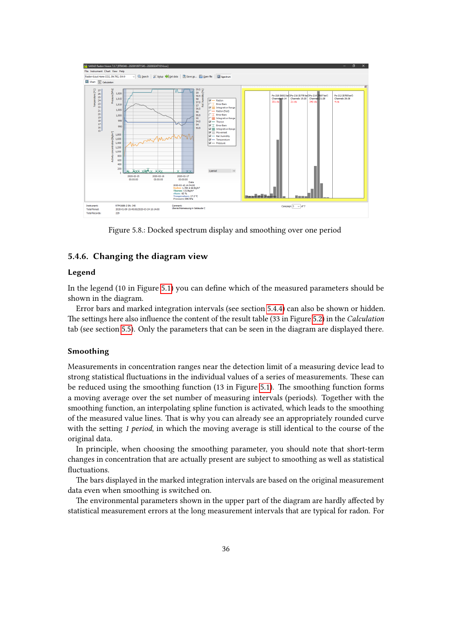<span id="page-35-1"></span>

Figure 5.8.: Docked spectrum display and smoothing over one period

#### <span id="page-35-0"></span>5.4.6. Changing the diagram view

#### Legend

In the legend (10 in Figure [5.1\)](#page-23-0) you can define which of the measured parameters should be shown in the diagram.

Error bars and marked integration intervals (see section [5.4.4\)](#page-33-0) can also be shown or hidden. The settings here also influence the content of the result table (33 in Figure [5.2\)](#page-24-0) in the Calculation tab (see section [5.5\)](#page-41-0). Only the parameters that can be seen in the diagram are displayed there.

#### Smoothing

Measurements in concentration ranges near the detection limit of a measuring device lead to strong statistical fluctuations in the individual values of a series of measurements. These can be reduced using the smoothing function (13 in Figure [5.1\)](#page-23-0). The smoothing function forms a moving average over the set number of measuring intervals (periods). Together with the smoothing function, an interpolating spline function is activated, which leads to the smoothing of the measured value lines. That is why you can already see an appropriately rounded curve with the setting 1 period, in which the moving average is still identical to the course of the original data.

In principle, when choosing the smoothing parameter, you should note that short-term changes in concentration that are actually present are subject to smoothing as well as statistical fluctuations.

The bars displayed in the marked integration intervals are based on the original measurement data even when smoothing is switched on.

The environmental parameters shown in the upper part of the diagram are hardly affected by statistical measurement errors at the long measurement intervals that are typical for radon. For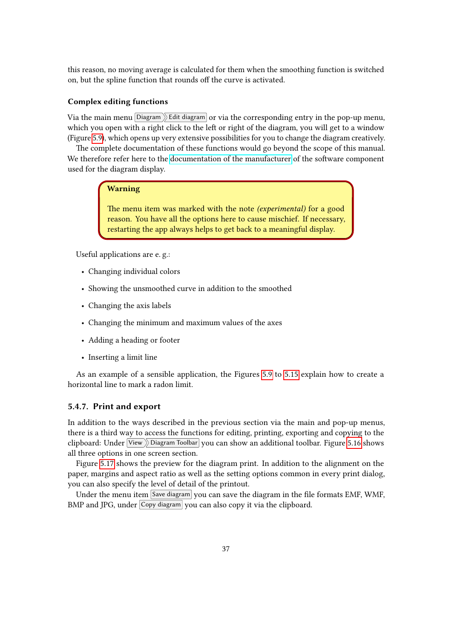this reason, no moving average is calculated for them when the smoothing function is switched on, but the spline function that rounds off the curve is activated.

#### <span id="page-36-1"></span>Complex editing functions

Via the main menu Diagram  $\sum$  Edit diagram or via the corresponding entry in the pop-up menu, which you open with a right click to the left or right of the diagram, you will get to a window (Figure [5.9\)](#page-37-0), which opens up very extensive possibilities for you to change the diagram creatively.

The complete documentation of these functions would go beyond the scope of this manual. We therefore refer here to the [documentation of the manufacturer](http://www.teechart.net/docs/TeeChartGeneralWiki.htm) of the software component used for the diagram display.

#### Warning

The menu item was marked with the note (experimental) for a good reason. You have all the options here to cause mischief. If necessary, restarting the app always helps to get back to a meaningful display.

Useful applications are e. g.:

- Changing individual colors
- Showing the unsmoothed curve in addition to the smoothed
- Changing the axis labels
- Changing the minimum and maximum values of the axes
- Adding a heading or footer
- Inserting a limit line

As an example of a sensible application, the Figures [5.9](#page-37-0) to [5.15](#page-40-0) explain how to create a horizontal line to mark a radon limit.

#### <span id="page-36-0"></span>5.4.7. Print and export

In addition to the ways described in the previous section via the main and pop-up menus, there is a third way to access the functions for editing, printing, exporting and copying to the clipboard: Under  $\boxed{\mathsf{View}}$  Diagram Toolbar you can show an additional toolbar. Figure [5.16](#page-40-1) shows all three options in one screen section.

Figure [5.17](#page-41-3) shows the preview for the diagram print. In addition to the alignment on the paper, margins and aspect ratio as well as the setting options common in every print dialog, you can also specify the level of detail of the printout.

Under the menu item  $\sqrt{\text{Save diagram}}$  you can save the diagram in the file formats EMF, WMF, BMP and JPG, under Copy diagram you can also copy it via the clipboard.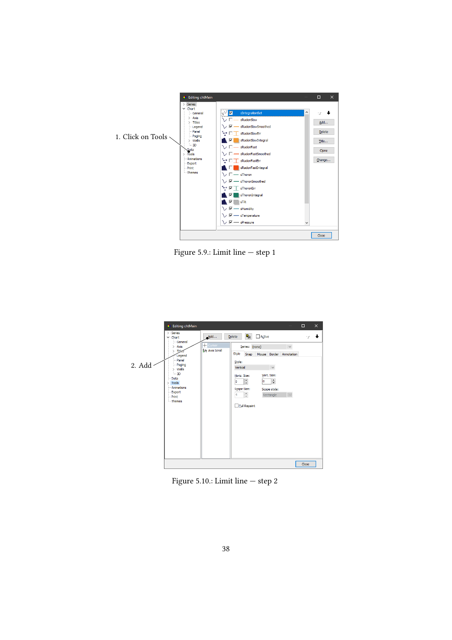<span id="page-37-0"></span>

Figure 5.9.: Limit line — step 1



Figure 5.10.: Limit line — step 2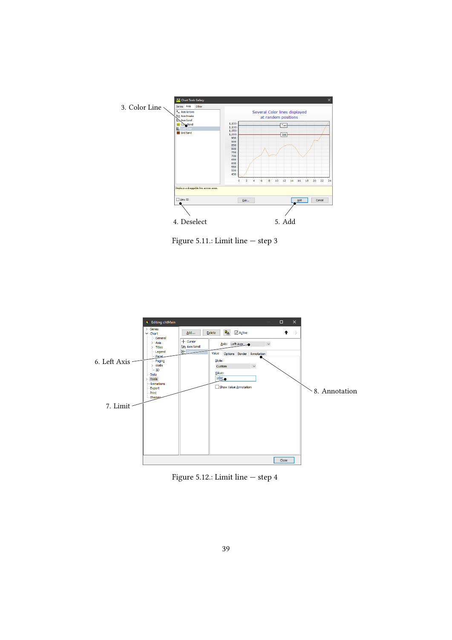

Figure 5.11.: Limit line — step 3



Figure 5.12.: Limit line — step 4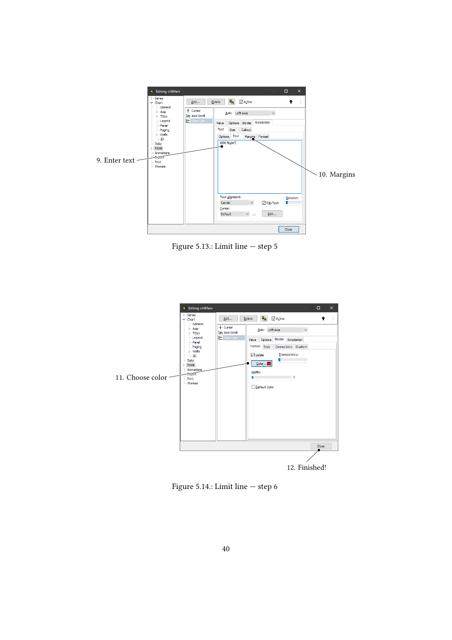

Figure 5.13.: Limit line — step 5



Figure 5.14.: Limit line — step 6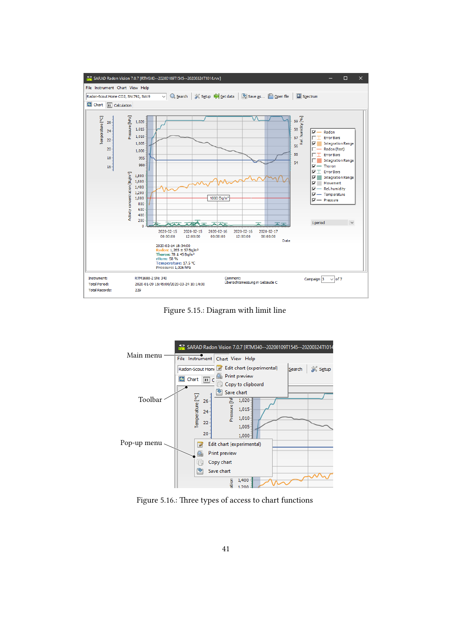<span id="page-40-0"></span>

Figure 5.15.: Diagram with limit line

<span id="page-40-1"></span>

Figure 5.16.: Three types of access to chart functions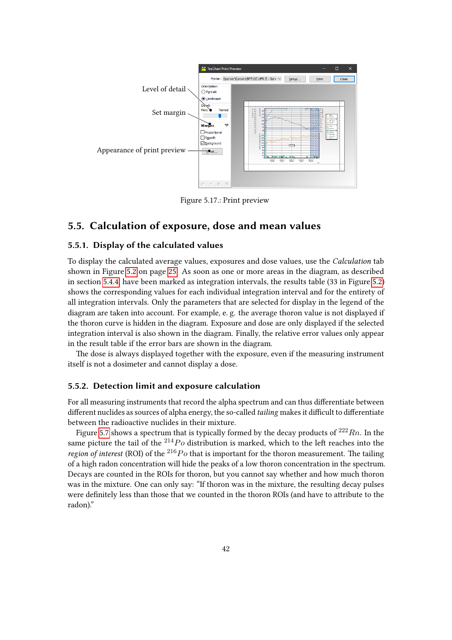<span id="page-41-3"></span>

Figure 5.17.: Print preview

## <span id="page-41-0"></span>5.5. Calculation of exposure, dose and mean values

### <span id="page-41-1"></span>5.5.1. Display of the calculated values

To display the calculated average values, exposures and dose values, use the Calculation tab shown in Figure [5.2](#page-24-0) on page [25.](#page-24-0) As soon as one or more areas in the diagram, as described in section [5.4.4,](#page-33-0) have been marked as integration intervals, the results table (33 in Figure [5.2\)](#page-24-0) shows the corresponding values for each individual integration interval and for the entirety of all integration intervals. Only the parameters that are selected for display in the legend of the diagram are taken into account. For example, e. g. the average thoron value is not displayed if the thoron curve is hidden in the diagram. Exposure and dose are only displayed if the selected integration interval is also shown in the diagram. Finally, the relative error values only appear in the result table if the error bars are shown in the diagram.

The dose is always displayed together with the exposure, even if the measuring instrument itself is not a dosimeter and cannot display a dose.

#### <span id="page-41-2"></span>5.5.2. Detection limit and exposure calculation

For all measuring instruments that record the alpha spectrum and can thus differentiate between different nuclides as sources of alpha energy, the so-called tailing makes it difficult to differentiate between the radioactive nuclides in their mixture.

Figure [5.7](#page-34-2) shows a spectrum that is typically formed by the decay products of  $222Rn$ . In the same picture the tail of the  $^{214}Po$  distribution is marked, which to the left reaches into the region of interest (ROI) of the  $^{216}Po$  that is important for the thoron measurement. The tailing of a high radon concentration will hide the peaks of a low thoron concentration in the spectrum. Decays are counted in the ROIs for thoron, but you cannot say whether and how much thoron was in the mixture. One can only say: "If thoron was in the mixture, the resulting decay pulses were definitely less than those that we counted in the thoron ROIs (and have to attribute to the radon)."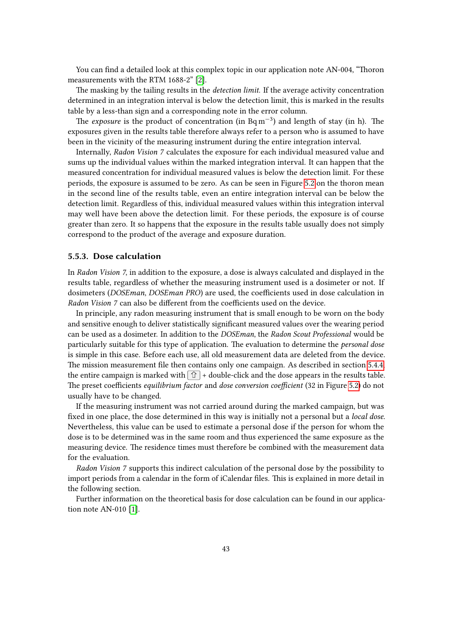You can find a detailed look at this complex topic in our application note AN-004, "Thoron measurements with the RTM 1688-2" [\[2\]](#page-50-0).

The masking by the tailing results in the *detection limit*. If the average activity concentration determined in an integration interval is below the detection limit, this is marked in the results table by a less-than sign and a corresponding note in the error column.

The exposure is the product of concentration (in  $Bqm^{-3})$  and length of stay (in h). The exposures given in the results table therefore always refer to a person who is assumed to have been in the vicinity of the measuring instrument during the entire integration interval.

Internally, Radon Vision 7 calculates the exposure for each individual measured value and sums up the individual values within the marked integration interval. It can happen that the measured concentration for individual measured values is below the detection limit. For these periods, the exposure is assumed to be zero. As can be seen in Figure [5.2](#page-24-0) on the thoron mean in the second line of the results table, even an entire integration interval can be below the detection limit. Regardless of this, individual measured values within this integration interval may well have been above the detection limit. For these periods, the exposure is of course greater than zero. It so happens that the exposure in the results table usually does not simply correspond to the product of the average and exposure duration.

#### <span id="page-42-0"></span>5.5.3. Dose calculation

In Radon Vision 7, in addition to the exposure, a dose is always calculated and displayed in the results table, regardless of whether the measuring instrument used is a dosimeter or not. If dosimeters (DOSEman, DOSEman PRO) are used, the coefficients used in dose calculation in Radon Vision 7 can also be different from the coefficients used on the device.

In principle, any radon measuring instrument that is small enough to be worn on the body and sensitive enough to deliver statistically significant measured values over the wearing period can be used as a dosimeter. In addition to the DOSEman, the Radon Scout Professional would be particularly suitable for this type of application. The evaluation to determine the personal dose is simple in this case. Before each use, all old measurement data are deleted from the device. The mission measurement file then contains only one campaign. As described in section [5.4.4,](#page-33-0) the entire campaign is marked with  $\hat{U}$  + double-click and the dose appears in the results table. The preset coefficients equilibrium factor and dose conversion coefficient (32 in Figure [5.2\)](#page-24-0) do not usually have to be changed.

If the measuring instrument was not carried around during the marked campaign, but was fixed in one place, the dose determined in this way is initially not a personal but a *local dose*. Nevertheless, this value can be used to estimate a personal dose if the person for whom the dose is to be determined was in the same room and thus experienced the same exposure as the measuring device. The residence times must therefore be combined with the measurement data for the evaluation.

Radon Vision 7 supports this indirect calculation of the personal dose by the possibility to import periods from a calendar in the form of iCalendar files. This is explained in more detail in the following section.

Further information on the theoretical basis for dose calculation can be found in our application note AN-010 [\[1\]](#page-50-1).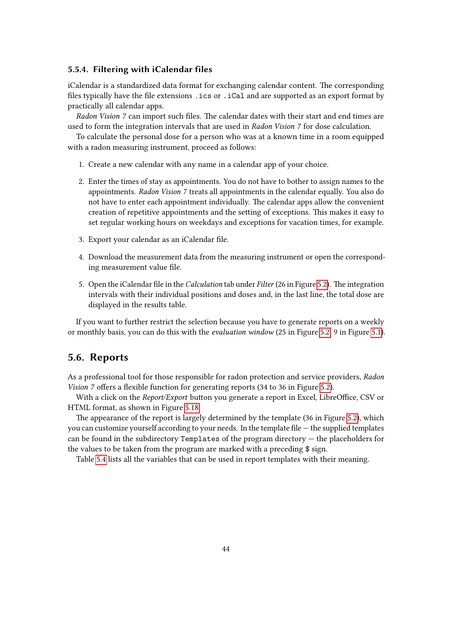#### <span id="page-43-0"></span>5.5.4. Filtering with iCalendar files

iCalendar is a standardized data format for exchanging calendar content. The corresponding files typically have the file extensions . ics or . iCal and are supported as an export format by practically all calendar apps.

Radon Vision 7 can import such files. The calendar dates with their start and end times are used to form the integration intervals that are used in Radon Vision 7 for dose calculation.

To calculate the personal dose for a person who was at a known time in a room equipped with a radon measuring instrument, proceed as follows:

- 1. Create a new calendar with any name in a calendar app of your choice.
- 2. Enter the times of stay as appointments. You do not have to bother to assign names to the appointments. Radon Vision 7 treats all appointments in the calendar equally. You also do not have to enter each appointment individually. The calendar apps allow the convenient creation of repetitive appointments and the setting of exceptions. This makes it easy to set regular working hours on weekdays and exceptions for vacation times, for example.
- 3. Export your calendar as an iCalendar file.
- 4. Download the measurement data from the measuring instrument or open the corresponding measurement value file.
- 5. Open the iCalendar file in the Calculation tab under Filter (26 in Figure [5.2\)](#page-24-0). The integration intervals with their individual positions and doses and, in the last line, the total dose are displayed in the results table.

If you want to further restrict the selection because you have to generate reports on a weekly or monthly basis, you can do this with the evaluation window (25 in Figure [5.2,](#page-24-0) 9 in Figure [5.1\)](#page-23-0).

### <span id="page-43-1"></span>5.6. Reports

As a professional tool for those responsible for radon protection and service providers, Radon Vision 7 offers a flexible function for generating reports (34 to 36 in Figure [5.2\)](#page-24-0).

With a click on the Report/Export button you generate a report in Excel, LibreOffice, CSV or HTML format, as shown in Figure [5.18.](#page-44-0)

The appearance of the report is largely determined by the template (36 in Figure [5.2\)](#page-24-0), which you can customize yourself according to your needs. In the template file — the supplied templates can be found in the subdirectory Templates of the program directory — the placeholders for the values to be taken from the program are marked with a preceding \$ sign.

Table [5.4](#page-45-0) lists all the variables that can be used in report templates with their meaning.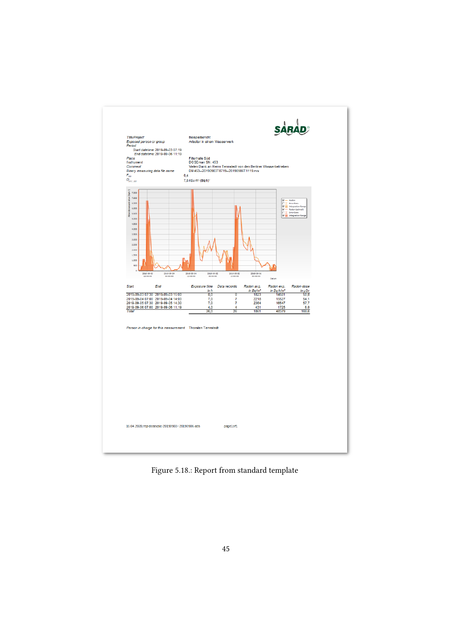<span id="page-44-0"></span>

Figure 5.18.: Report from standard template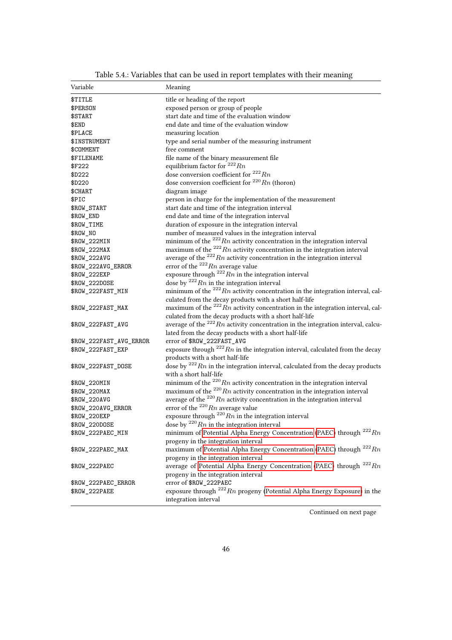<span id="page-45-0"></span>

| Variable                | Meaning                                                                                                |
|-------------------------|--------------------------------------------------------------------------------------------------------|
| \$TITLE                 | title or heading of the report                                                                         |
| \$PERSON                | exposed person or group of people                                                                      |
| \$START                 | start date and time of the evaluation window                                                           |
| \$END                   | end date and time of the evaluation window                                                             |
| <b>\$PLACE</b>          | measuring location                                                                                     |
| \$INSTRUMENT            | type and serial number of the measuring instrument                                                     |
| \$COMMENT               | free comment                                                                                           |
| <b>\$FILENAME</b>       | file name of the binary measurement file                                                               |
| \$F222                  | equilibrium factor for $^{222}Rn$                                                                      |
| \$D222                  | dose conversion coefficient for $^{222}Rn$                                                             |
| \$D220                  | dose conversion coefficient for $^{220}Rn$ (thoron)                                                    |
| \$CHART                 | diagram image                                                                                          |
| \$PIC                   | person in charge for the implementation of the measurement                                             |
| \$ROW_START             | start date and time of the integration interval                                                        |
| \$ROW_END               | end date and time of the integration interval                                                          |
| \$ROW_TIME              | duration of exposure in the integration interval                                                       |
| \$ROW_NO                | number of measured values in the integration interval                                                  |
| \$ROW_222MIN            | minimum of the $^{222}Rn$ activity concentration in the integration interval                           |
| \$ROW_222MAX            | maximum of the $^{222}Rn$ activity concentration in the integration interval                           |
| \$ROW_222AVG            | average of the $^{222}Rn$ activity concentration in the integration interval                           |
| \$ROW_222AVG_ERROR      | error of the $^{222}Rn$ average value                                                                  |
| \$ROW_222EXP            | exposure through $^{222}Rn$ in the integration interval                                                |
| \$ROW_222DOSE           | dose by $^{222}Rn$ in the integration interval                                                         |
| \$ROW_222FAST_MIN       | minimum of the $^{222}Rn$ activity concentration in the integration interval, cal-                     |
|                         | culated from the decay products with a short half-life                                                 |
| \$ROW_222FAST_MAX       | maximum of the $^{222}Rn$ activity concentration in the integration interval, cal-                     |
|                         | culated from the decay products with a short half-life                                                 |
| \$ROW_222FAST_AVG       | average of the $^{222}Rn$ activity concentration in the integration interval, calcu-                   |
|                         | lated from the decay products with a short half-life                                                   |
| \$ROW_222FAST_AVG_ERROR | error of \$ROW_222FAST_AVG                                                                             |
| \$ROW_222FAST_EXP       | exposure through $^{222}Rn$ in the integration interval, calculated from the decay                     |
|                         | products with a short half-life                                                                        |
| \$ROW_222FAST_DOSE      | dose by $^{222}Rn$ in the integration interval, calculated from the decay products                     |
|                         | with a short half-life                                                                                 |
| \$ROW_220MIN            | minimum of the $^{220}Rn$ activity concentration in the integration interval                           |
| \$ROW_220MAX            | maximum of the $^{220}Rn$ activity concentration in the integration interval                           |
| \$ROW_220AVG            | average of the $^{220}Rn$ activity concentration in the integration interval                           |
| \$ROW_220AVG_ERROR      | error of the $^{220}Rn$ average value                                                                  |
| \$ROW_220EXP            | exposure through $^{220}Rn$ in the integration interval                                                |
| \$ROW_220DOSE           | dose by $^{220}Rn$ in the integration interval                                                         |
| \$ROW_222PAEC_MIN       | minimum of Potential Alpha Energy Concentration (PAEC) through $^{222}Rn$                              |
|                         | progeny in the integration interval                                                                    |
| \$ROW_222PAEC_MAX       | maximum of Potential Alpha Energy Concentration (PAEC) through $^{222}Rn$                              |
|                         | progeny in the integration interval                                                                    |
| \$ROW 222PAEC           | average of Potential Alpha Energy Concentration (PAEC) through $^{222}Rn$                              |
|                         |                                                                                                        |
|                         | progeny in the integration interval                                                                    |
| \$ROW_222PAEC_ERROR     | error of \$ROW_222PAEC<br>exposure through $^{222}Rn$ progeny (Potential Alpha Energy Exposure) in the |
| \$ROW_222PAEE           | integration interval                                                                                   |

Table 5.4.: Variables that can be used in report templates with their meaning

Continued on next page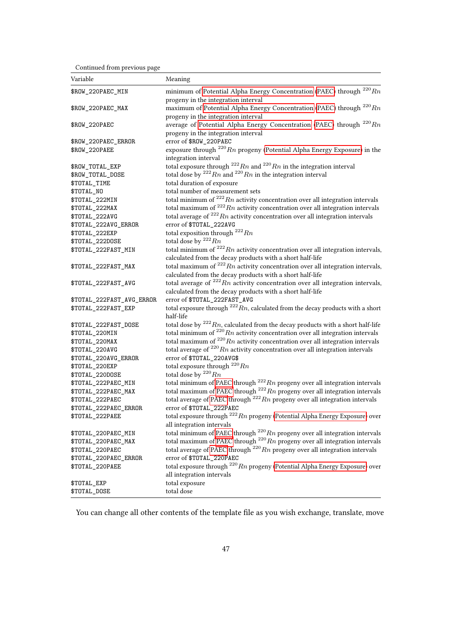Continued from previous page

| Variable                  | Meaning                                                                                                          |
|---------------------------|------------------------------------------------------------------------------------------------------------------|
| \$ROW_220PAEC_MIN         | minimum of Potential Alpha Energy Concentration (PAEC) through $^{220}Rn$<br>progeny in the integration interval |
| \$ROW_220PAEC_MAX         | maximum of Potential Alpha Energy Concentration (PAEC) through $^{220}Rn$<br>progeny in the integration interval |
| \$ROW 220PAEC             | average of Potential Alpha Energy Concentration (PAEC) through $^{220}Rn$<br>progeny in the integration interval |
| \$ROW_220PAEC_ERROR       | error of \$ROW_220PAEC                                                                                           |
| \$ROW_220PAEE             | exposure through $^{220}Rn$ progeny (Potential Alpha Energy Exposure) in the<br>integration interval             |
| \$ROW_TOTAL_EXP           | total exposure through $^{222}Rn$ and $^{220}Rn$ in the integration interval                                     |
| \$ROW_TOTAL_DOSE          | total dose by $^{222}Rn$ and $^{220}Rn$ in the integration interval                                              |
| \$TOTAL_TIME              | total duration of exposure                                                                                       |
| \$TOTAL_NO                | total number of measurement sets                                                                                 |
| \$TOTAL_222MIN            | total minimum of $^{222}Rn$ activity concentration over all integration intervals                                |
| \$TOTAL_222MAX            | total maximum of $^{222}Rn$ activity concentration over all integration intervals                                |
| \$TOTAL_222AVG            | total average of $^{222}Rn$ activity concentration over all integration intervals                                |
| \$TOTAL_222AVG_ERROR      | error of \$T0TAL_222AVG                                                                                          |
| \$TOTAL_222EXP            | total exposition through $^{222}Rn$                                                                              |
| \$TOTAL_222DOSE           | total dose by $^{222}Rn$                                                                                         |
| \$TOTAL_222FAST_MIN       | total minimum of $^{222}Rn$ activity concentration over all integration intervals,                               |
|                           | calculated from the decay products with a short half-life                                                        |
| \$TOTAL_222FAST_MAX       | total maximum of $^{222}Rn$ activity concentration over all integration intervals,                               |
|                           | calculated from the decay products with a short half-life                                                        |
| \$TOTAL_222FAST_AVG       | total average of $^{222}Rn$ activity concentration over all integration intervals,                               |
|                           | calculated from the decay products with a short half-life                                                        |
| \$TOTAL_222FAST_AVG_ERROR | error of \$TOTAL_222FAST_AVG                                                                                     |
| \$TOTAL_222FAST_EXP       | total exposure through $^{222}Rn$ , calculated from the decay products with a short<br>half-life                 |
| \$TOTAL_222FAST_DOSE      | total dose by $^{222}Rn$ , calculated from the decay products with a short half-life                             |
| \$TOTAL_220MIN            | total minimum of $^{220}Rn$ activity concentration over all integration intervals                                |
| \$TOTAL_220MAX            | total maximum of $^{220}Rn$ activity concentration over all integration intervals                                |
| \$TOTAL_220AVG            | total average of $^{220}Rn$ activity concentration over all integration intervals                                |
| \$TOTAL_220AVG_ERROR      | error of \$T0TAL_220AVG\$                                                                                        |
| \$TOTAL_220EXP            | total exposure through $^{220}Rn$                                                                                |
| \$TOTAL_220DOSE           | total dose by $^{220}Rn$                                                                                         |
| \$TOTAL_222PAEC_MIN       | total minimum of PAEC through $^{222}Rn$ progeny over all integration intervals                                  |
| \$TOTAL_222PAEC_MAX       | total maximum of PAEC through $^{222}Rn$ progeny over all integration intervals                                  |
| \$TOTAL_222PAEC           | total average of PAEC through $^{222}Rn$ progeny over all integration intervals                                  |
| \$TOTAL_222PAEC_ERROR     | error of \$TOTAL_222PAEC                                                                                         |
| \$TOTAL_222PAEE           | total exposure through $^{222}Rn$ progeny (Potential Alpha Energy Exposure) over                                 |
|                           | all integration intervals                                                                                        |
| \$TOTAL_220PAEC_MIN       | total minimum of PAEC through $^{220}Rn$ progeny over all integration intervals                                  |
| \$TOTAL_220PAEC_MAX       | total maximum of PAEC through $^{220}Rn$ progeny over all integration intervals                                  |
| \$TOTAL_220PAEC           | total average of PAEC through $^{220}Rn$ progeny over all integration intervals                                  |
| \$TOTAL_220PAEC_ERROR     | error of \$TOTAL_220PAEC                                                                                         |
| \$TOTAL_220PAEE           | total exposure through $^{220}Rn$ progeny (Potential Alpha Energy Exposure) over                                 |
|                           | all integration intervals                                                                                        |
| \$TOTAL_EXP               | total exposure                                                                                                   |
| \$TOTAL_DOSE              | total dose                                                                                                       |

You can change all other contents of the template file as you wish exchange, translate, move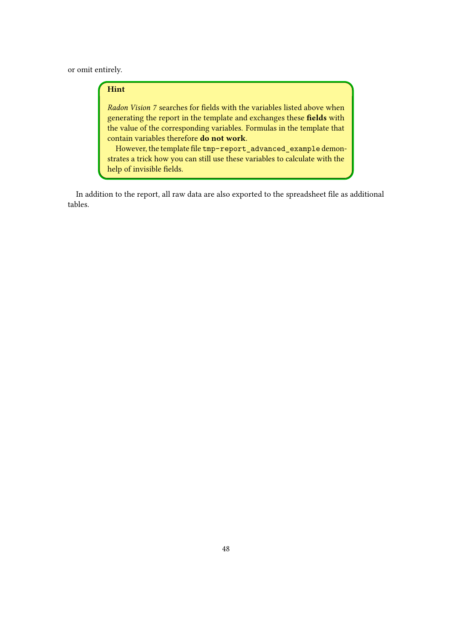or omit entirely.

### Hint

Radon Vision 7 searches for fields with the variables listed above when generating the report in the template and exchanges these fields with the value of the corresponding variables. Formulas in the template that contain variables therefore do not work.

However, the template file tmp-report\_advanced\_example demonstrates a trick how you can still use these variables to calculate with the help of invisible fields.

In addition to the report, all raw data are also exported to the spreadsheet file as additional tables.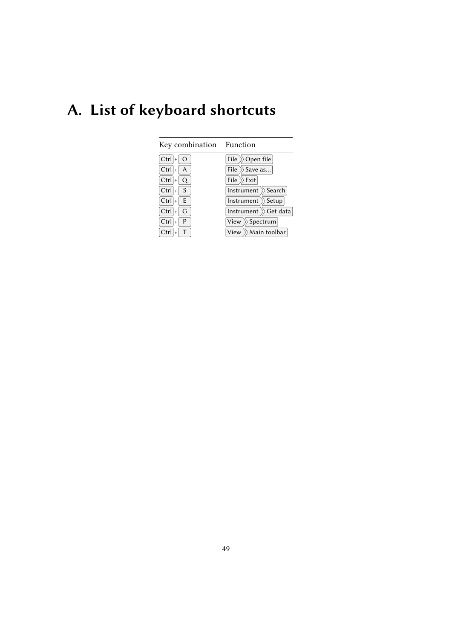# <span id="page-48-0"></span>A. List of keyboard shortcuts

| Key combination Function             |                                        |
|--------------------------------------|----------------------------------------|
| $Ctrl \nightharpoonup 0$             | File<br>$\rangle\!\rangle$ Open file   |
| $Ctrl \nightharpoonup A$             | File $\gg$ Save as                     |
| $Ctrl \nightharpoonup Q$             | File $\gg$ Exit                        |
| $Ctrl \mid \mid S$                   | Instrument $\gg$ Search                |
| $Ctrl \mid \vdash \mid E$            | Instrument<br>$\rangle\!\rangle$ Setup |
| $Ctrl \nightharpoonup G$             | Instrument $\gg$ Get data              |
| $Ctrl \vert + \vert$<br>$\mathsf{P}$ | View $\rangle$ Spectrum                |
| Ctrl                                 | View $\gg$ Main toolbar                |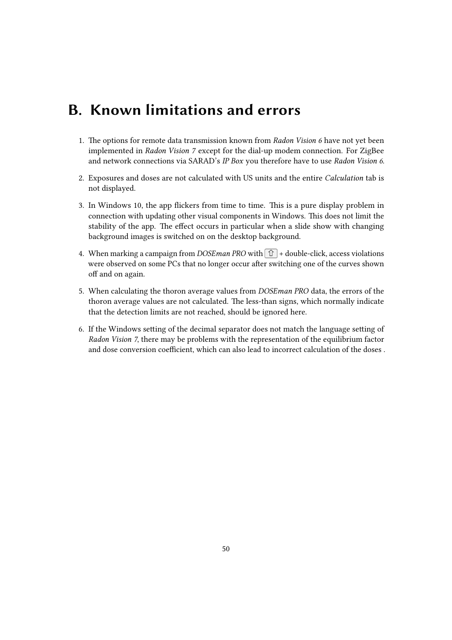## <span id="page-49-0"></span>B. Known limitations and errors

- 1. The options for remote data transmission known from Radon Vision 6 have not yet been implemented in Radon Vision 7 except for the dial-up modem connection. For ZigBee and network connections via SARAD's IP Box you therefore have to use Radon Vision 6.
- 2. Exposures and doses are not calculated with US units and the entire Calculation tab is not displayed.
- 3. In Windows 10, the app flickers from time to time. This is a pure display problem in connection with updating other visual components in Windows. This does not limit the stability of the app. The effect occurs in particular when a slide show with changing background images is switched on on the desktop background.
- 4. When marking a campaign from DOSEman PRO with  $\boxed{\hat{\text{t}}}$  + double-click, access violations were observed on some PCs that no longer occur after switching one of the curves shown off and on again.
- 5. When calculating the thoron average values from DOSEman PRO data, the errors of the thoron average values are not calculated. The less-than signs, which normally indicate that the detection limits are not reached, should be ignored here.
- 6. If the Windows setting of the decimal separator does not match the language setting of Radon Vision 7, there may be problems with the representation of the equilibrium factor and dose conversion coefficient, which can also lead to incorrect calculation of the doses .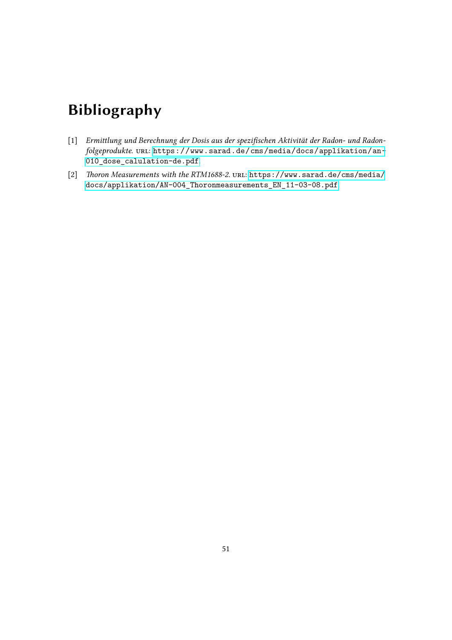## Bibliography

- <span id="page-50-1"></span>[1] Ermittlung und Berechnung der Dosis aus der spezifischen Aktivität der Radon- und Radonfolgeprodukte. URL: [https://www.sarad.de/cms/media/docs/applikation/an-](https://www.sarad.de/cms/media/docs/applikation/an-010_dose_calulation-de.pdf)[010\\_dose\\_calulation-de.pdf](https://www.sarad.de/cms/media/docs/applikation/an-010_dose_calulation-de.pdf).
- <span id="page-50-0"></span>[2] Thoron Measurements with the RTM1688-2. URL: [https://www.sarad.de/cms/media/](https://www.sarad.de/cms/media/docs/applikation/AN-004_Thoronmeasurements_EN_11-03-08.pdf) [docs/applikation/AN-004\\_Thoronmeasurements\\_EN\\_11-03-08.pdf](https://www.sarad.de/cms/media/docs/applikation/AN-004_Thoronmeasurements_EN_11-03-08.pdf).